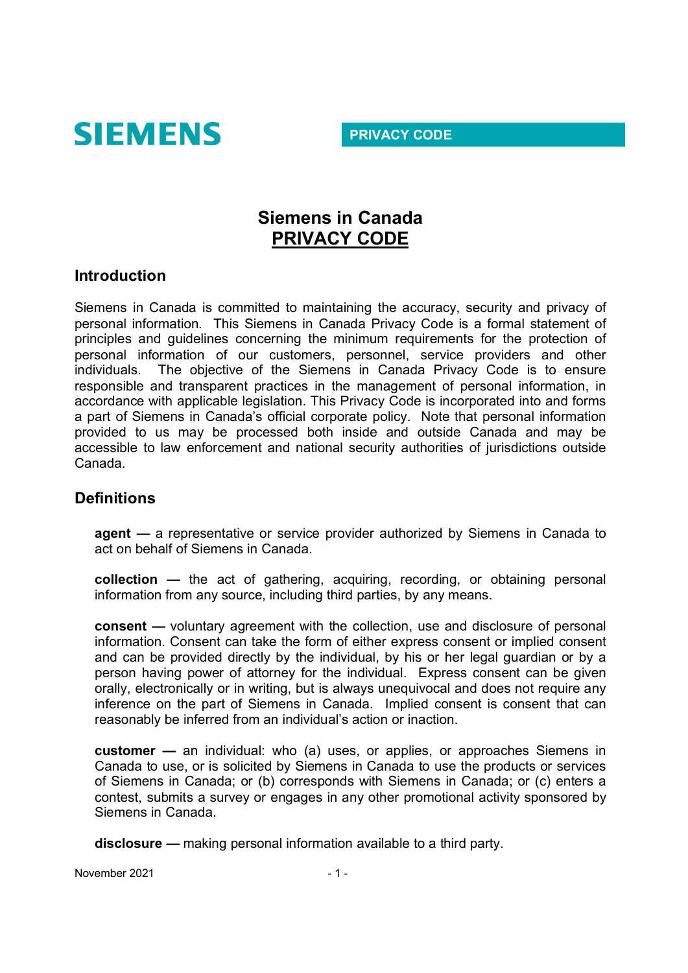

#### **PRIVACY CODE**

# **Siemens in Canada PRIVACY CODE**

#### **Introduction**

Siemens in Canada is committed to maintaining the accuracy, security and privacy of personal information. This Siemens in Canada Privacy Code is a formal statement of principles and guidelines concerning the minimum requirements for the protection of personal information of our customers, personnel, service providers and other individuals. The objective of the Siemens in Canada Privacy Code is to ensure responsible and transparent practices in the management of personal information, in accordance with applicable legislation. This Privacy Code is incorporated into and forms a part of Siemens in Canada's official corporate policy. Note that personal information provided to us may be processed both inside and outside Canada and may be accessible to law enforcement and national security authorities of jurisdictions outside Canada.

## **Definitions**

**agent —** a representative or service provider authorized by Siemens in Canada to act on behalf of Siemens in Canada.

**collection —** the act of gathering, acquiring, recording, or obtaining personal information from any source, including third parties, by any means.

**consent —** voluntary agreement with the collection, use and disclosure of personal information. Consent can take the form of either express consent or implied consent and can be provided directly by the individual, by his or her legal guardian or by a person having power of attorney for the individual. Express consent can be given orally, electronically or in writing, but is always unequivocal and does not require any inference on the part of Siemens in Canada. Implied consent is consent that can reasonably be inferred from an individual's action or inaction.

**customer —** an individual: who (a) uses, or applies, or approaches Siemens in Canada to use, or is solicited by Siemens in Canada to use the products or services of Siemens in Canada; or (b) corresponds with Siemens in Canada; or (c) enters a contest, submits a survey or engages in any other promotional activity sponsored by Siemens in Canada.

**disclosure —** making personal information available to a third party.

November 2021 - 1 -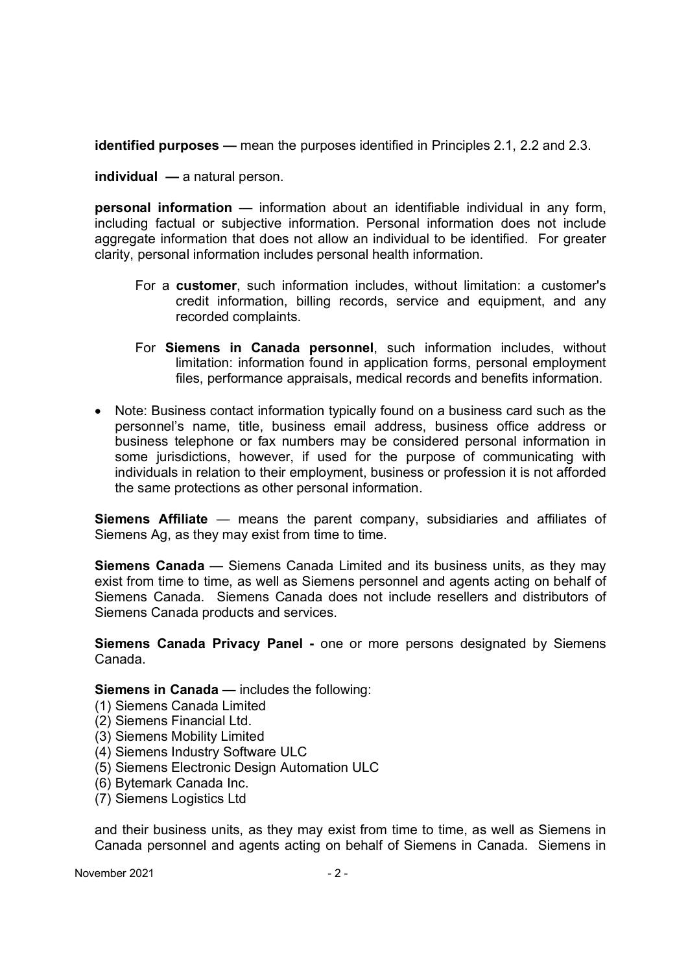**identified purposes —** mean the purposes identified in Principles 2.1, 2.2 and 2.3.

**individual —** a natural person.

**personal information** — information about an identifiable individual in any form, including factual or subjective information. Personal information does not include aggregate information that does not allow an individual to be identified. For greater clarity, personal information includes personal health information.

- For a **customer**, such information includes, without limitation: a customer's credit information, billing records, service and equipment, and any recorded complaints.
- For **Siemens in Canada personnel**, such information includes, without limitation: information found in application forms, personal employment files, performance appraisals, medical records and benefits information.
- Note: Business contact information typically found on a business card such as the personnel's name, title, business email address, business office address or business telephone or fax numbers may be considered personal information in some jurisdictions, however, if used for the purpose of communicating with individuals in relation to their employment, business or profession it is not afforded the same protections as other personal information.

**Siemens Affiliate** — means the parent company, subsidiaries and affiliates of Siemens Ag, as they may exist from time to time.

**Siemens Canada** — Siemens Canada Limited and its business units, as they may exist from time to time, as well as Siemens personnel and agents acting on behalf of Siemens Canada. Siemens Canada does not include resellers and distributors of Siemens Canada products and services.

**Siemens Canada Privacy Panel -** one or more persons designated by Siemens Canada.

**Siemens in Canada** — includes the following:

- (1) Siemens Canada Limited
- (2) Siemens Financial Ltd.
- (3) Siemens Mobility Limited
- (4) Siemens Industry Software ULC
- (5) Siemens Electronic Design Automation ULC
- (6) Bytemark Canada Inc.
- (7) Siemens Logistics Ltd

and their business units, as they may exist from time to time, as well as Siemens in Canada personnel and agents acting on behalf of Siemens in Canada. Siemens in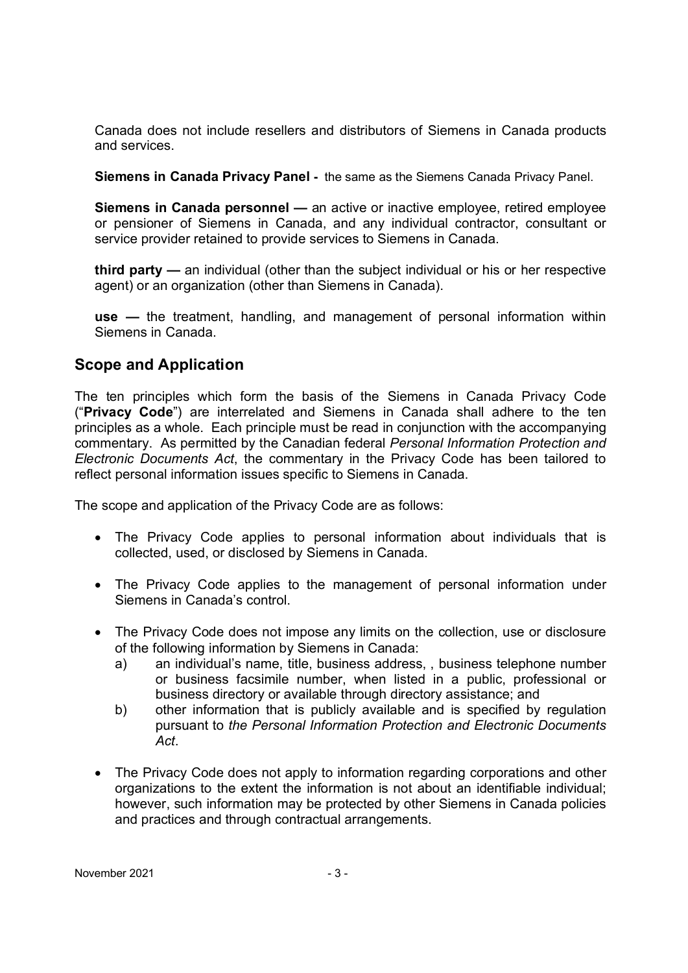Canada does not include resellers and distributors of Siemens in Canada products and services.

**Siemens in Canada Privacy Panel -** the same as the Siemens Canada Privacy Panel.

**Siemens in Canada personnel —** an active or inactive employee, retired employee or pensioner of Siemens in Canada, and any individual contractor, consultant or service provider retained to provide services to Siemens in Canada.

**third party —** an individual (other than the subject individual or his or her respective agent) or an organization (other than Siemens in Canada).

**use —** the treatment, handling, and management of personal information within Siemens in Canada.

## **Scope and Application**

The ten principles which form the basis of the Siemens in Canada Privacy Code ("**Privacy Code**") are interrelated and Siemens in Canada shall adhere to the ten principles as a whole. Each principle must be read in conjunction with the accompanying commentary. As permitted by the Canadian federal *Personal Information Protection and Electronic Documents Act*, the commentary in the Privacy Code has been tailored to reflect personal information issues specific to Siemens in Canada.

The scope and application of the Privacy Code are as follows:

- The Privacy Code applies to personal information about individuals that is collected, used, or disclosed by Siemens in Canada.
- The Privacy Code applies to the management of personal information under Siemens in Canada's control.
- The Privacy Code does not impose any limits on the collection, use or disclosure of the following information by Siemens in Canada:
	- a) an individual's name, title, business address, , business telephone number or business facsimile number, when listed in a public, professional or business directory or available through directory assistance; and
	- b) other information that is publicly available and is specified by regulation pursuant to *the Personal Information Protection and Electronic Documents Act*.
- The Privacy Code does not apply to information regarding corporations and other organizations to the extent the information is not about an identifiable individual; however, such information may be protected by other Siemens in Canada policies and practices and through contractual arrangements.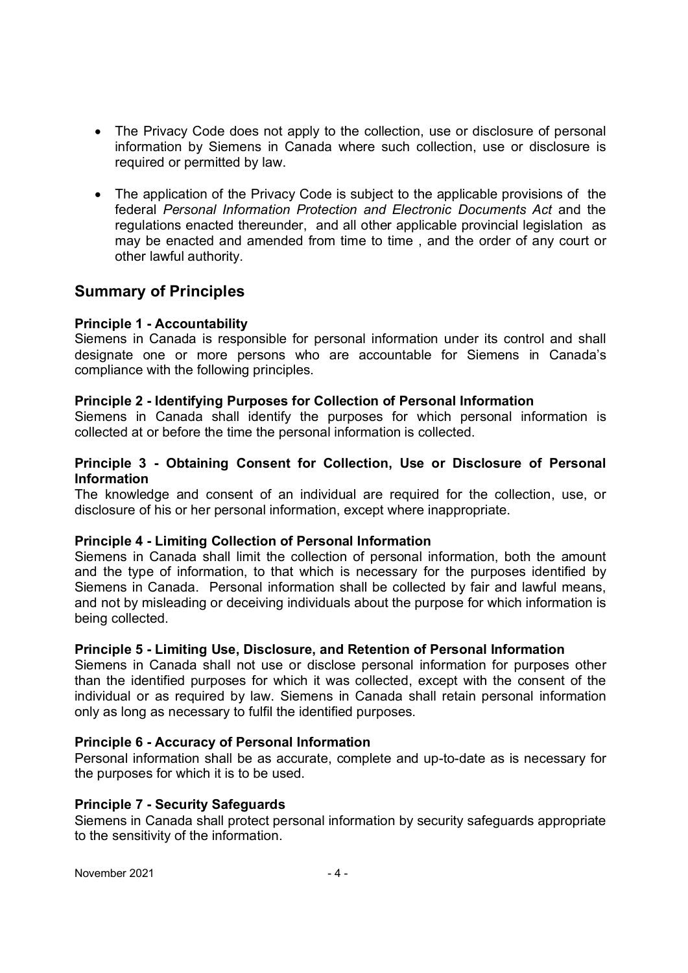- The Privacy Code does not apply to the collection, use or disclosure of personal information by Siemens in Canada where such collection, use or disclosure is required or permitted by law.
- The application of the Privacy Code is subject to the applicable provisions of the federal *Personal Information Protection and Electronic Documents Act* and the regulations enacted thereunder, and all other applicable provincial legislation as may be enacted and amended from time to time , and the order of any court or other lawful authority.

## **Summary of Principles**

#### **Principle 1 - Accountability**

Siemens in Canada is responsible for personal information under its control and shall designate one or more persons who are accountable for Siemens in Canada's compliance with the following principles.

#### **Principle 2 - Identifying Purposes for Collection of Personal Information**

Siemens in Canada shall identify the purposes for which personal information is collected at or before the time the personal information is collected.

#### **Principle 3 - Obtaining Consent for Collection, Use or Disclosure of Personal Information**

The knowledge and consent of an individual are required for the collection, use, or disclosure of his or her personal information, except where inappropriate.

#### **Principle 4 - Limiting Collection of Personal Information**

Siemens in Canada shall limit the collection of personal information, both the amount and the type of information, to that which is necessary for the purposes identified by Siemens in Canada. Personal information shall be collected by fair and lawful means, and not by misleading or deceiving individuals about the purpose for which information is being collected.

#### **Principle 5 - Limiting Use, Disclosure, and Retention of Personal Information**

Siemens in Canada shall not use or disclose personal information for purposes other than the identified purposes for which it was collected, except with the consent of the individual or as required by law. Siemens in Canada shall retain personal information only as long as necessary to fulfil the identified purposes.

#### **Principle 6 - Accuracy of Personal Information**

Personal information shall be as accurate, complete and up-to-date as is necessary for the purposes for which it is to be used.

#### **Principle 7 - Security Safeguards**

Siemens in Canada shall protect personal information by security safeguards appropriate to the sensitivity of the information.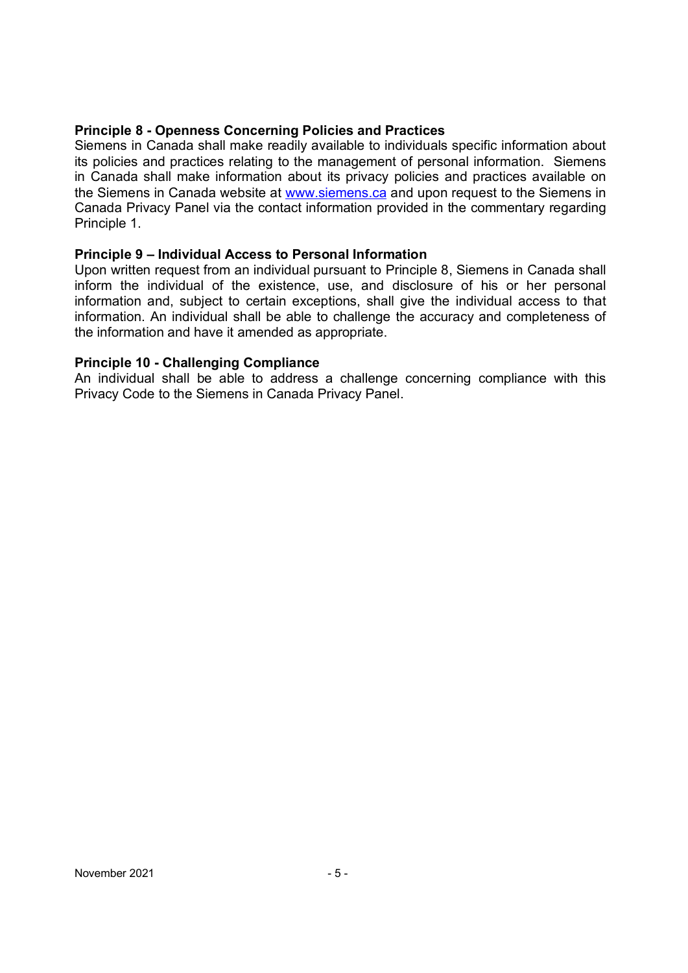#### **Principle 8 - Openness Concerning Policies and Practices**

Siemens in Canada shall make readily available to individuals specific information about its policies and practices relating to the management of personal information. Siemens in Canada shall make information about its privacy policies and practices available on the Siemens in Canada website at www.siemens.ca and upon request to the Siemens in Canada Privacy Panel via the contact information provided in the commentary regarding Principle 1.

#### **Principle 9 – Individual Access to Personal Information**

Upon written request from an individual pursuant to Principle 8, Siemens in Canada shall inform the individual of the existence, use, and disclosure of his or her personal information and, subject to certain exceptions, shall give the individual access to that information. An individual shall be able to challenge the accuracy and completeness of the information and have it amended as appropriate.

#### **Principle 10 - Challenging Compliance**

An individual shall be able to address a challenge concerning compliance with this Privacy Code to the Siemens in Canada Privacy Panel.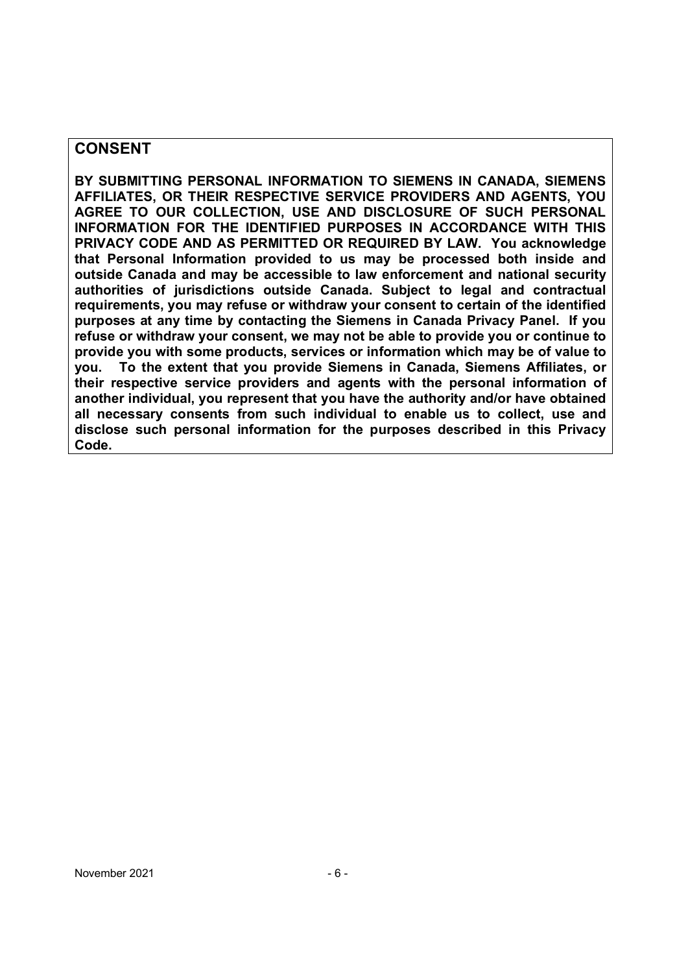#### **CONSENT**

**BY SUBMITTING PERSONAL INFORMATION TO SIEMENS IN CANADA, SIEMENS AFFILIATES, OR THEIR RESPECTIVE SERVICE PROVIDERS AND AGENTS, YOU AGREE TO OUR COLLECTION, USE AND DISCLOSURE OF SUCH PERSONAL INFORMATION FOR THE IDENTIFIED PURPOSES IN ACCORDANCE WITH THIS PRIVACY CODE AND AS PERMITTED OR REQUIRED BY LAW. You acknowledge that Personal Information provided to us may be processed both inside and outside Canada and may be accessible to law enforcement and national security authorities of jurisdictions outside Canada. Subject to legal and contractual requirements, you may refuse or withdraw your consent to certain of the identified purposes at any time by contacting the Siemens in Canada Privacy Panel. If you refuse or withdraw your consent, we may not be able to provide you or continue to provide you with some products, services or information which may be of value to you. To the extent that you provide Siemens in Canada, Siemens Affiliates, or their respective service providers and agents with the personal information of another individual, you represent that you have the authority and/or have obtained all necessary consents from such individual to enable us to collect, use and disclose such personal information for the purposes described in this Privacy Code.**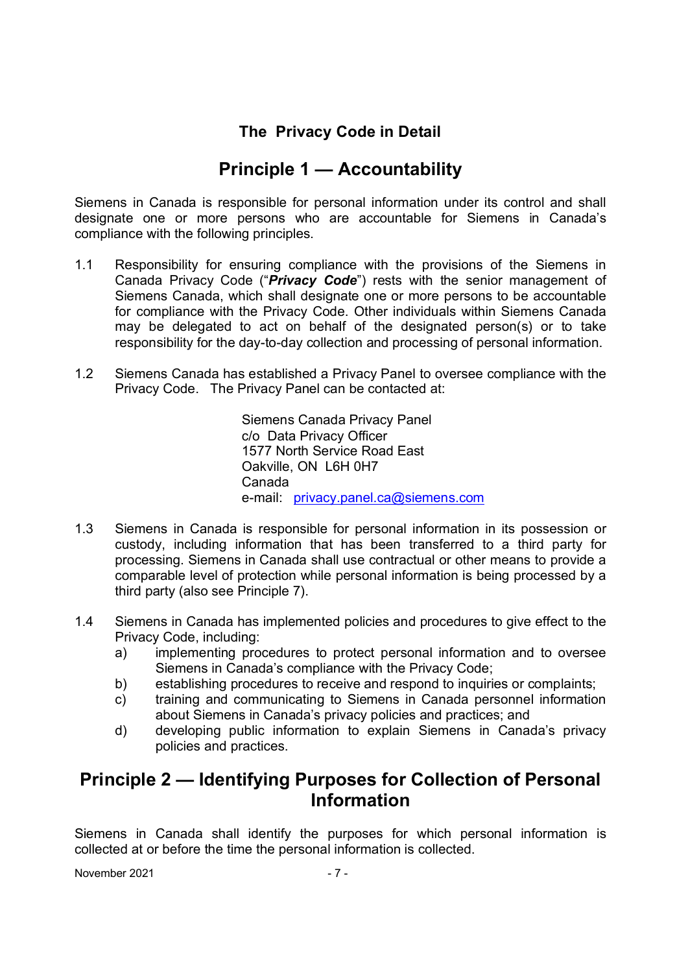## **The Privacy Code in Detail**

# **Principle 1 — Accountability**

Siemens in Canada is responsible for personal information under its control and shall designate one or more persons who are accountable for Siemens in Canada's compliance with the following principles.

- 1.1 Responsibility for ensuring compliance with the provisions of the Siemens in Canada Privacy Code ("*Privacy Code*") rests with the senior management of Siemens Canada, which shall designate one or more persons to be accountable for compliance with the Privacy Code. Other individuals within Siemens Canada may be delegated to act on behalf of the designated person(s) or to take responsibility for the day-to-day collection and processing of personal information.
- 1.2 Siemens Canada has established a Privacy Panel to oversee compliance with the Privacy Code. The Privacy Panel can be contacted at:

Siemens Canada Privacy Panel c/o Data Privacy Officer 1577 North Service Road East Oakville, ON L6H 0H7 Canada e-mail: privacy.panel.ca@siemens.com

- 1.3 Siemens in Canada is responsible for personal information in its possession or custody, including information that has been transferred to a third party for processing. Siemens in Canada shall use contractual or other means to provide a comparable level of protection while personal information is being processed by a third party (also see Principle 7).
- 1.4 Siemens in Canada has implemented policies and procedures to give effect to the Privacy Code, including:
	- a) implementing procedures to protect personal information and to oversee Siemens in Canada's compliance with the Privacy Code;
	- b) establishing procedures to receive and respond to inquiries or complaints;
	- c) training and communicating to Siemens in Canada personnel information about Siemens in Canada's privacy policies and practices; and
	- d) developing public information to explain Siemens in Canada's privacy policies and practices.

# **Principle 2 — Identifying Purposes for Collection of Personal Information**

Siemens in Canada shall identify the purposes for which personal information is collected at or before the time the personal information is collected.

November 2021 - 7 -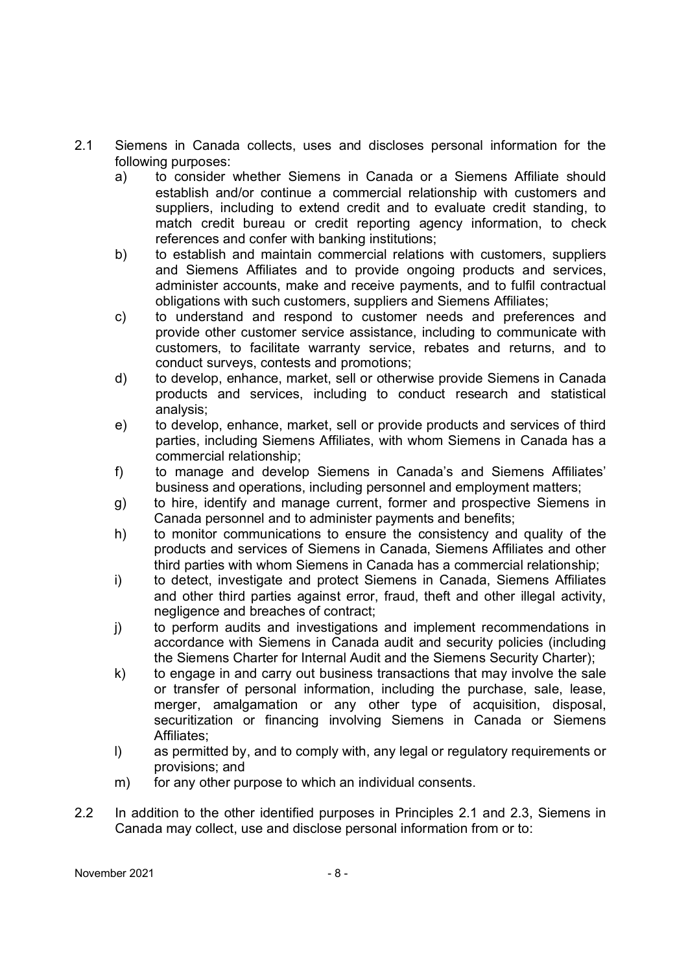- 2.1 Siemens in Canada collects, uses and discloses personal information for the following purposes:
	- a) to consider whether Siemens in Canada or a Siemens Affiliate should establish and/or continue a commercial relationship with customers and suppliers, including to extend credit and to evaluate credit standing, to match credit bureau or credit reporting agency information, to check references and confer with banking institutions;
	- b) to establish and maintain commercial relations with customers, suppliers and Siemens Affiliates and to provide ongoing products and services, administer accounts, make and receive payments, and to fulfil contractual obligations with such customers, suppliers and Siemens Affiliates;
	- c) to understand and respond to customer needs and preferences and provide other customer service assistance, including to communicate with customers, to facilitate warranty service, rebates and returns, and to conduct surveys, contests and promotions;
	- d) to develop, enhance, market, sell or otherwise provide Siemens in Canada products and services, including to conduct research and statistical analysis;
	- e) to develop, enhance, market, sell or provide products and services of third parties, including Siemens Affiliates, with whom Siemens in Canada has a commercial relationship;
	- f) to manage and develop Siemens in Canada's and Siemens Affiliates' business and operations, including personnel and employment matters;
	- g) to hire, identify and manage current, former and prospective Siemens in Canada personnel and to administer payments and benefits;
	- h) to monitor communications to ensure the consistency and quality of the products and services of Siemens in Canada, Siemens Affiliates and other third parties with whom Siemens in Canada has a commercial relationship;
	- i) to detect, investigate and protect Siemens in Canada, Siemens Affiliates and other third parties against error, fraud, theft and other illegal activity, negligence and breaches of contract;
	- j) to perform audits and investigations and implement recommendations in accordance with Siemens in Canada audit and security policies (including the Siemens Charter for Internal Audit and the Siemens Security Charter);
	- k) to engage in and carry out business transactions that may involve the sale or transfer of personal information, including the purchase, sale, lease, merger, amalgamation or any other type of acquisition, disposal, securitization or financing involving Siemens in Canada or Siemens Affiliates;
	- l) as permitted by, and to comply with, any legal or regulatory requirements or provisions; and
	- m) for any other purpose to which an individual consents.
- 2.2 In addition to the other identified purposes in Principles 2.1 and 2.3, Siemens in Canada may collect, use and disclose personal information from or to: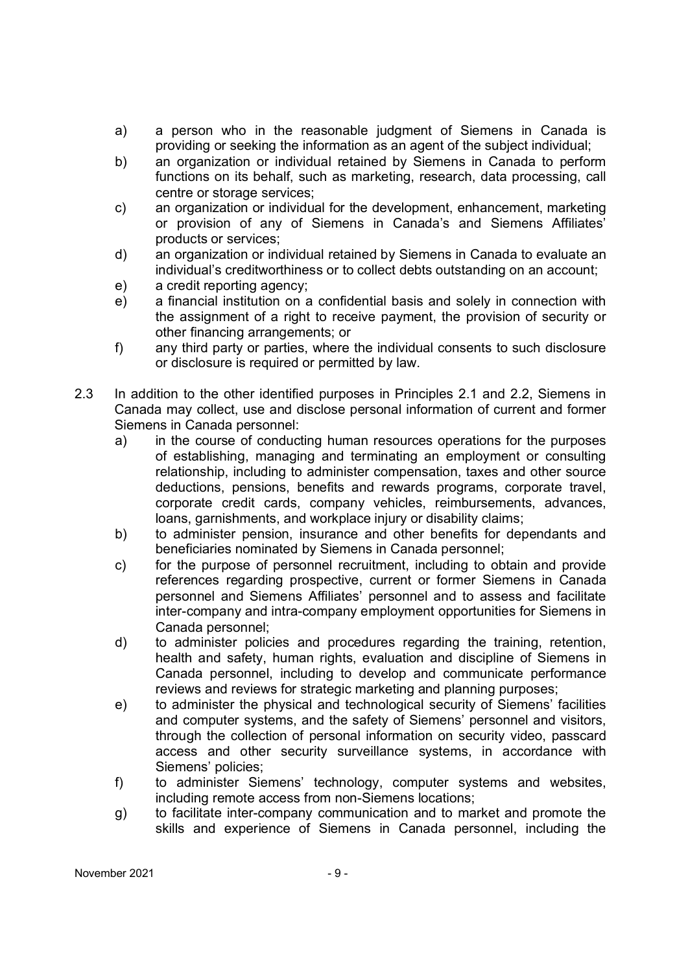- a) a person who in the reasonable judgment of Siemens in Canada is providing or seeking the information as an agent of the subject individual;
- b) an organization or individual retained by Siemens in Canada to perform functions on its behalf, such as marketing, research, data processing, call centre or storage services;
- c) an organization or individual for the development, enhancement, marketing or provision of any of Siemens in Canada's and Siemens Affiliates' products or services;
- d) an organization or individual retained by Siemens in Canada to evaluate an individual's creditworthiness or to collect debts outstanding on an account;
- e) a credit reporting agency;
- e) a financial institution on a confidential basis and solely in connection with the assignment of a right to receive payment, the provision of security or other financing arrangements; or
- f) any third party or parties, where the individual consents to such disclosure or disclosure is required or permitted by law.
- 2.3 In addition to the other identified purposes in Principles 2.1 and 2.2, Siemens in Canada may collect, use and disclose personal information of current and former Siemens in Canada personnel:
	- a) in the course of conducting human resources operations for the purposes of establishing, managing and terminating an employment or consulting relationship, including to administer compensation, taxes and other source deductions, pensions, benefits and rewards programs, corporate travel, corporate credit cards, company vehicles, reimbursements, advances, loans, garnishments, and workplace injury or disability claims;
	- b) to administer pension, insurance and other benefits for dependants and beneficiaries nominated by Siemens in Canada personnel;
	- c) for the purpose of personnel recruitment, including to obtain and provide references regarding prospective, current or former Siemens in Canada personnel and Siemens Affiliates' personnel and to assess and facilitate inter-company and intra-company employment opportunities for Siemens in Canada personnel;
	- d) to administer policies and procedures regarding the training, retention, health and safety, human rights, evaluation and discipline of Siemens in Canada personnel, including to develop and communicate performance reviews and reviews for strategic marketing and planning purposes;
	- e) to administer the physical and technological security of Siemens' facilities and computer systems, and the safety of Siemens' personnel and visitors, through the collection of personal information on security video, passcard access and other security surveillance systems, in accordance with Siemens' policies;
	- f) to administer Siemens' technology, computer systems and websites, including remote access from non-Siemens locations;
	- g) to facilitate inter-company communication and to market and promote the skills and experience of Siemens in Canada personnel, including the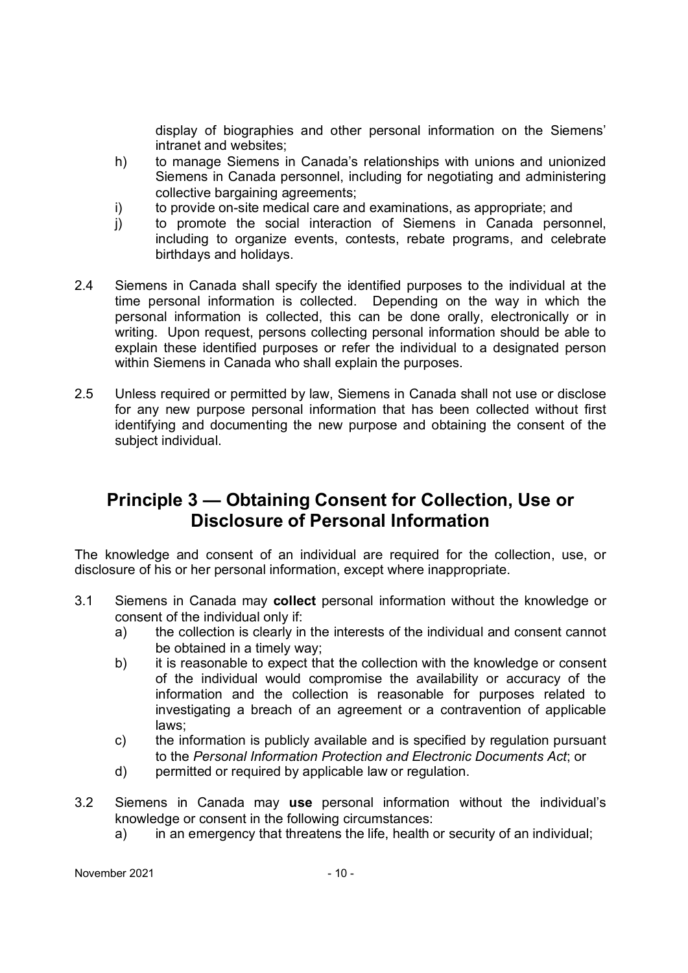display of biographies and other personal information on the Siemens' intranet and websites;

- h) to manage Siemens in Canada's relationships with unions and unionized Siemens in Canada personnel, including for negotiating and administering collective bargaining agreements;
- i) to provide on-site medical care and examinations, as appropriate; and
- j) to promote the social interaction of Siemens in Canada personnel, including to organize events, contests, rebate programs, and celebrate birthdays and holidays.
- 2.4 Siemens in Canada shall specify the identified purposes to the individual at the time personal information is collected. Depending on the way in which the personal information is collected, this can be done orally, electronically or in writing. Upon request, persons collecting personal information should be able to explain these identified purposes or refer the individual to a designated person within Siemens in Canada who shall explain the purposes.
- 2.5 Unless required or permitted by law, Siemens in Canada shall not use or disclose for any new purpose personal information that has been collected without first identifying and documenting the new purpose and obtaining the consent of the subject individual.

# **Principle 3 — Obtaining Consent for Collection, Use or Disclosure of Personal Information**

The knowledge and consent of an individual are required for the collection, use, or disclosure of his or her personal information, except where inappropriate.

- 3.1 Siemens in Canada may **collect** personal information without the knowledge or consent of the individual only if:
	- a) the collection is clearly in the interests of the individual and consent cannot be obtained in a timely way;
	- b) it is reasonable to expect that the collection with the knowledge or consent of the individual would compromise the availability or accuracy of the information and the collection is reasonable for purposes related to investigating a breach of an agreement or a contravention of applicable laws;
	- c) the information is publicly available and is specified by regulation pursuant to the *Personal Information Protection and Electronic Documents Act*; or
	- d) permitted or required by applicable law or regulation.
- 3.2 Siemens in Canada may **use** personal information without the individual's knowledge or consent in the following circumstances:
	- a) in an emergency that threatens the life, health or security of an individual;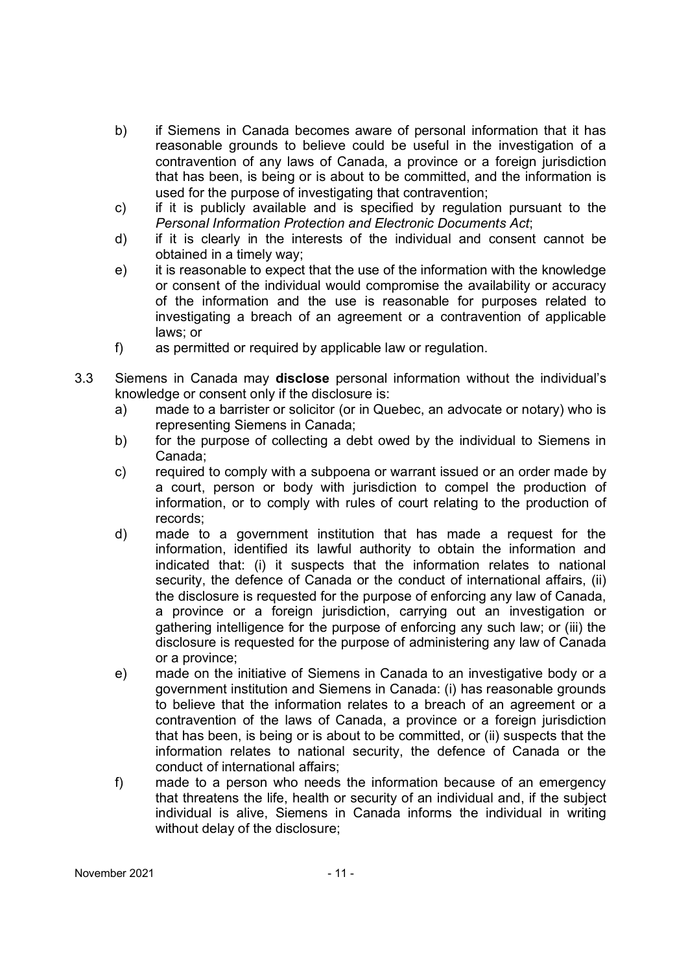- b) if Siemens in Canada becomes aware of personal information that it has reasonable grounds to believe could be useful in the investigation of a contravention of any laws of Canada, a province or a foreign jurisdiction that has been, is being or is about to be committed, and the information is used for the purpose of investigating that contravention;
- c) if it is publicly available and is specified by regulation pursuant to the *Personal Information Protection and Electronic Documents Act*;
- d) if it is clearly in the interests of the individual and consent cannot be obtained in a timely way;
- e) it is reasonable to expect that the use of the information with the knowledge or consent of the individual would compromise the availability or accuracy of the information and the use is reasonable for purposes related to investigating a breach of an agreement or a contravention of applicable laws; or
- f) as permitted or required by applicable law or regulation.
- 3.3 Siemens in Canada may **disclose** personal information without the individual's knowledge or consent only if the disclosure is:
	- a) made to a barrister or solicitor (or in Quebec, an advocate or notary) who is representing Siemens in Canada;
	- b) for the purpose of collecting a debt owed by the individual to Siemens in Canada;
	- c) required to comply with a subpoena or warrant issued or an order made by a court, person or body with jurisdiction to compel the production of information, or to comply with rules of court relating to the production of records;
	- d) made to a government institution that has made a request for the information, identified its lawful authority to obtain the information and indicated that: (i) it suspects that the information relates to national security, the defence of Canada or the conduct of international affairs, (ii) the disclosure is requested for the purpose of enforcing any law of Canada, a province or a foreign jurisdiction, carrying out an investigation or gathering intelligence for the purpose of enforcing any such law; or (iii) the disclosure is requested for the purpose of administering any law of Canada or a province;
	- e) made on the initiative of Siemens in Canada to an investigative body or a government institution and Siemens in Canada: (i) has reasonable grounds to believe that the information relates to a breach of an agreement or a contravention of the laws of Canada, a province or a foreign jurisdiction that has been, is being or is about to be committed, or (ii) suspects that the information relates to national security, the defence of Canada or the conduct of international affairs;
	- f) made to a person who needs the information because of an emergency that threatens the life, health or security of an individual and, if the subject individual is alive, Siemens in Canada informs the individual in writing without delay of the disclosure;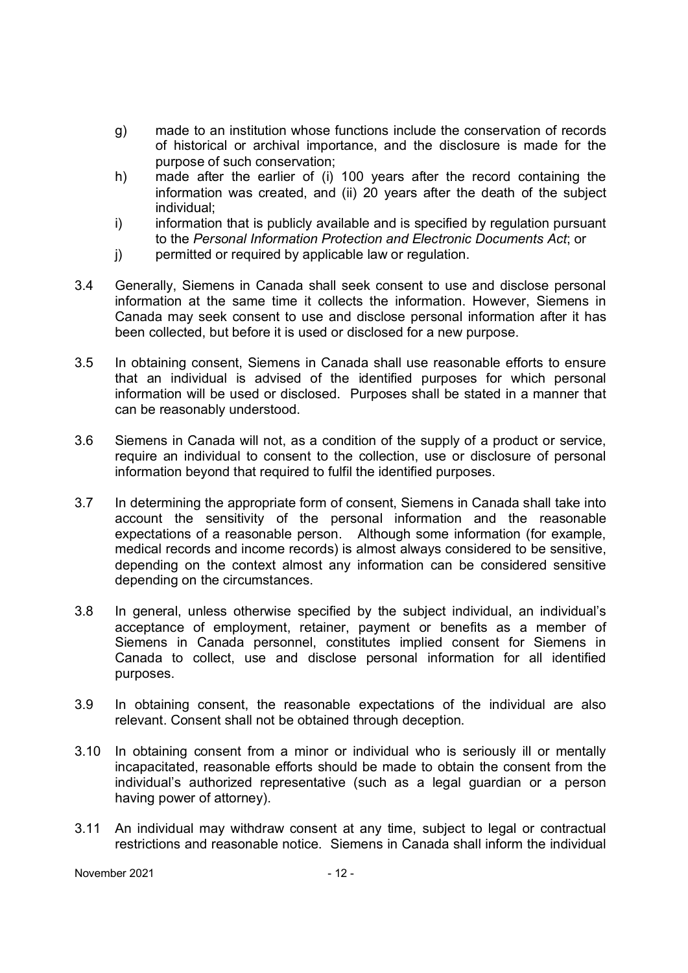- g) made to an institution whose functions include the conservation of records of historical or archival importance, and the disclosure is made for the purpose of such conservation;
- h) made after the earlier of (i) 100 years after the record containing the information was created, and (ii) 20 years after the death of the subject individual;
- i) information that is publicly available and is specified by regulation pursuant to the *Personal Information Protection and Electronic Documents Act*; or
- j) permitted or required by applicable law or regulation.
- 3.4 Generally, Siemens in Canada shall seek consent to use and disclose personal information at the same time it collects the information. However, Siemens in Canada may seek consent to use and disclose personal information after it has been collected, but before it is used or disclosed for a new purpose.
- 3.5 In obtaining consent, Siemens in Canada shall use reasonable efforts to ensure that an individual is advised of the identified purposes for which personal information will be used or disclosed. Purposes shall be stated in a manner that can be reasonably understood.
- 3.6 Siemens in Canada will not, as a condition of the supply of a product or service, require an individual to consent to the collection, use or disclosure of personal information beyond that required to fulfil the identified purposes.
- 3.7 In determining the appropriate form of consent, Siemens in Canada shall take into account the sensitivity of the personal information and the reasonable expectations of a reasonable person. Although some information (for example, medical records and income records) is almost always considered to be sensitive, depending on the context almost any information can be considered sensitive depending on the circumstances.
- 3.8 In general, unless otherwise specified by the subject individual, an individual's acceptance of employment, retainer, payment or benefits as a member of Siemens in Canada personnel, constitutes implied consent for Siemens in Canada to collect, use and disclose personal information for all identified purposes.
- 3.9 In obtaining consent, the reasonable expectations of the individual are also relevant. Consent shall not be obtained through deception.
- 3.10 In obtaining consent from a minor or individual who is seriously ill or mentally incapacitated, reasonable efforts should be made to obtain the consent from the individual's authorized representative (such as a legal guardian or a person having power of attorney).
- 3.11 An individual may withdraw consent at any time, subject to legal or contractual restrictions and reasonable notice. Siemens in Canada shall inform the individual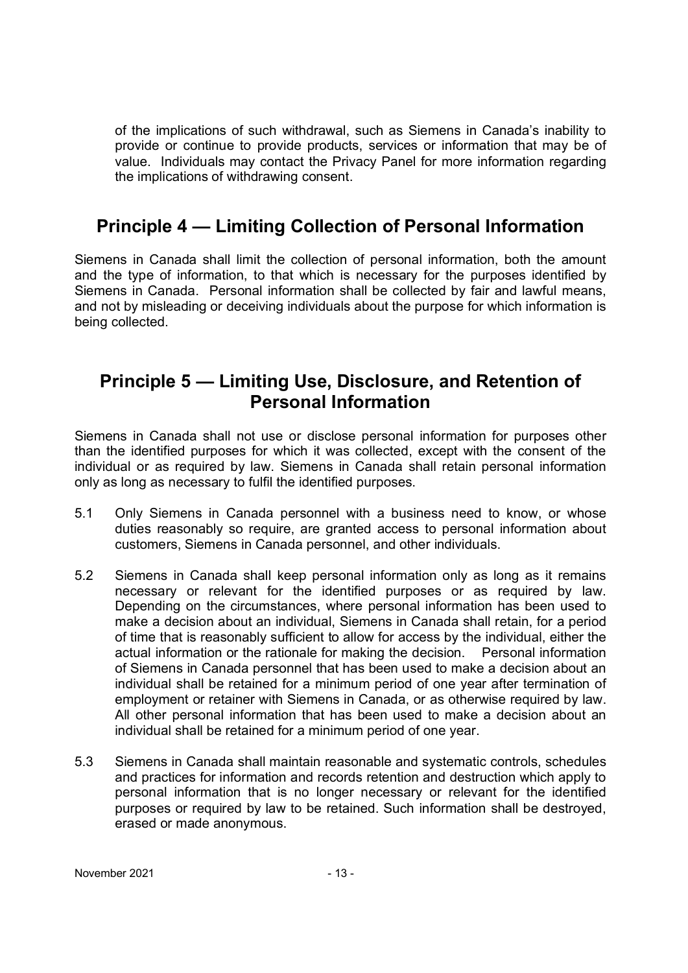of the implications of such withdrawal, such as Siemens in Canada's inability to provide or continue to provide products, services or information that may be of value. Individuals may contact the Privacy Panel for more information regarding the implications of withdrawing consent.

# **Principle 4 — Limiting Collection of Personal Information**

Siemens in Canada shall limit the collection of personal information, both the amount and the type of information, to that which is necessary for the purposes identified by Siemens in Canada. Personal information shall be collected by fair and lawful means, and not by misleading or deceiving individuals about the purpose for which information is being collected.

## **Principle 5 — Limiting Use, Disclosure, and Retention of Personal Information**

Siemens in Canada shall not use or disclose personal information for purposes other than the identified purposes for which it was collected, except with the consent of the individual or as required by law. Siemens in Canada shall retain personal information only as long as necessary to fulfil the identified purposes.

- 5.1 Only Siemens in Canada personnel with a business need to know, or whose duties reasonably so require, are granted access to personal information about customers, Siemens in Canada personnel, and other individuals.
- 5.2 Siemens in Canada shall keep personal information only as long as it remains necessary or relevant for the identified purposes or as required by law. Depending on the circumstances, where personal information has been used to make a decision about an individual, Siemens in Canada shall retain, for a period of time that is reasonably sufficient to allow for access by the individual, either the actual information or the rationale for making the decision. Personal information of Siemens in Canada personnel that has been used to make a decision about an individual shall be retained for a minimum period of one year after termination of employment or retainer with Siemens in Canada, or as otherwise required by law. All other personal information that has been used to make a decision about an individual shall be retained for a minimum period of one year.
- 5.3 Siemens in Canada shall maintain reasonable and systematic controls, schedules and practices for information and records retention and destruction which apply to personal information that is no longer necessary or relevant for the identified purposes or required by law to be retained. Such information shall be destroyed, erased or made anonymous.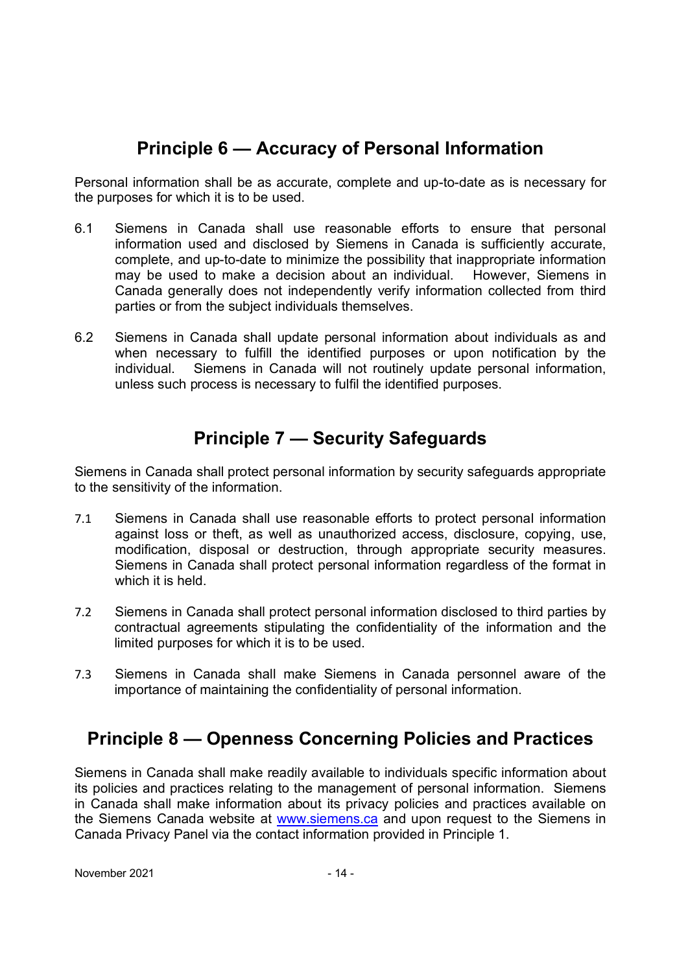# **Principle 6 — Accuracy of Personal Information**

Personal information shall be as accurate, complete and up-to-date as is necessary for the purposes for which it is to be used.

- 6.1 Siemens in Canada shall use reasonable efforts to ensure that personal information used and disclosed by Siemens in Canada is sufficiently accurate, complete, and up-to-date to minimize the possibility that inappropriate information may be used to make a decision about an individual. However, Siemens in Canada generally does not independently verify information collected from third parties or from the subject individuals themselves.
- 6.2 Siemens in Canada shall update personal information about individuals as and when necessary to fulfill the identified purposes or upon notification by the individual. Siemens in Canada will not routinely update personal information, unless such process is necessary to fulfil the identified purposes.

# **Principle 7 — Security Safeguards**

Siemens in Canada shall protect personal information by security safeguards appropriate to the sensitivity of the information.

- 7.1 Siemens in Canada shall use reasonable efforts to protect personal information against loss or theft, as well as unauthorized access, disclosure, copying, use, modification, disposal or destruction, through appropriate security measures. Siemens in Canada shall protect personal information regardless of the format in which it is held.
- 7.2 Siemens in Canada shall protect personal information disclosed to third parties by contractual agreements stipulating the confidentiality of the information and the limited purposes for which it is to be used.
- 7.3 Siemens in Canada shall make Siemens in Canada personnel aware of the importance of maintaining the confidentiality of personal information.

# **Principle 8 — Openness Concerning Policies and Practices**

Siemens in Canada shall make readily available to individuals specific information about its policies and practices relating to the management of personal information. Siemens in Canada shall make information about its privacy policies and practices available on the Siemens Canada website at www.siemens.ca and upon request to the Siemens in Canada Privacy Panel via the contact information provided in Principle 1.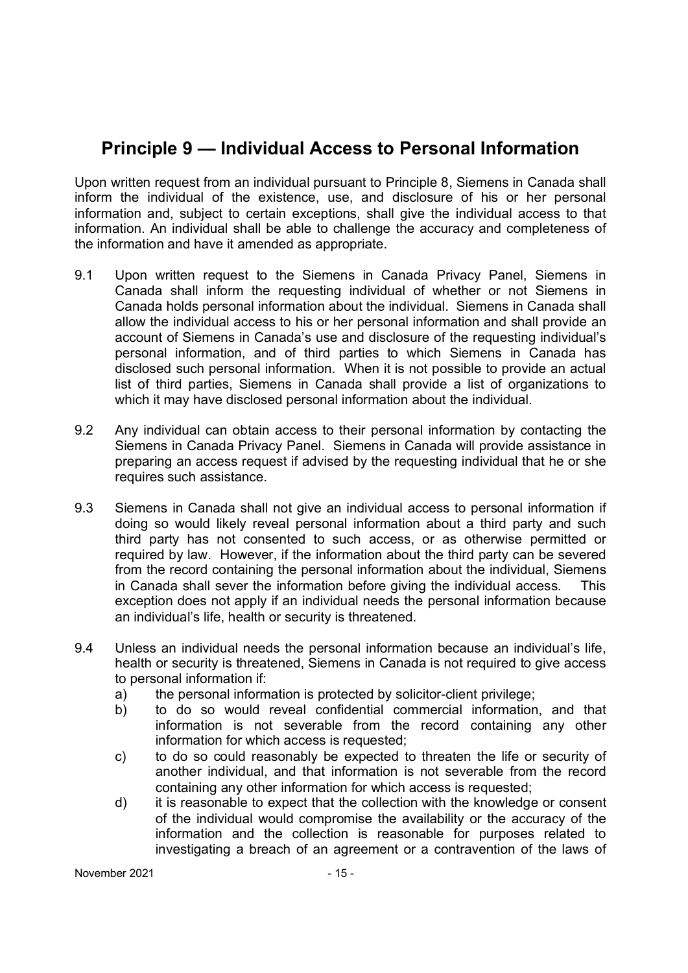# **Principle 9 — Individual Access to Personal Information**

Upon written request from an individual pursuant to Principle 8, Siemens in Canada shall inform the individual of the existence, use, and disclosure of his or her personal information and, subject to certain exceptions, shall give the individual access to that information. An individual shall be able to challenge the accuracy and completeness of the information and have it amended as appropriate.

- 9.1 Upon written request to the Siemens in Canada Privacy Panel, Siemens in Canada shall inform the requesting individual of whether or not Siemens in Canada holds personal information about the individual. Siemens in Canada shall allow the individual access to his or her personal information and shall provide an account of Siemens in Canada's use and disclosure of the requesting individual's personal information, and of third parties to which Siemens in Canada has disclosed such personal information. When it is not possible to provide an actual list of third parties, Siemens in Canada shall provide a list of organizations to which it may have disclosed personal information about the individual.
- 9.2 Any individual can obtain access to their personal information by contacting the Siemens in Canada Privacy Panel. Siemens in Canada will provide assistance in preparing an access request if advised by the requesting individual that he or she requires such assistance.
- 9.3 Siemens in Canada shall not give an individual access to personal information if doing so would likely reveal personal information about a third party and such third party has not consented to such access, or as otherwise permitted or required by law. However, if the information about the third party can be severed from the record containing the personal information about the individual, Siemens in Canada shall sever the information before giving the individual access. This exception does not apply if an individual needs the personal information because an individual's life, health or security is threatened.
- 9.4 Unless an individual needs the personal information because an individual's life, health or security is threatened, Siemens in Canada is not required to give access to personal information if:
	- a) the personal information is protected by solicitor-client privilege;
	- b) to do so would reveal confidential commercial information, and that information is not severable from the record containing any other information for which access is requested;
	- c) to do so could reasonably be expected to threaten the life or security of another individual, and that information is not severable from the record containing any other information for which access is requested;
	- d) it is reasonable to expect that the collection with the knowledge or consent of the individual would compromise the availability or the accuracy of the information and the collection is reasonable for purposes related to investigating a breach of an agreement or a contravention of the laws of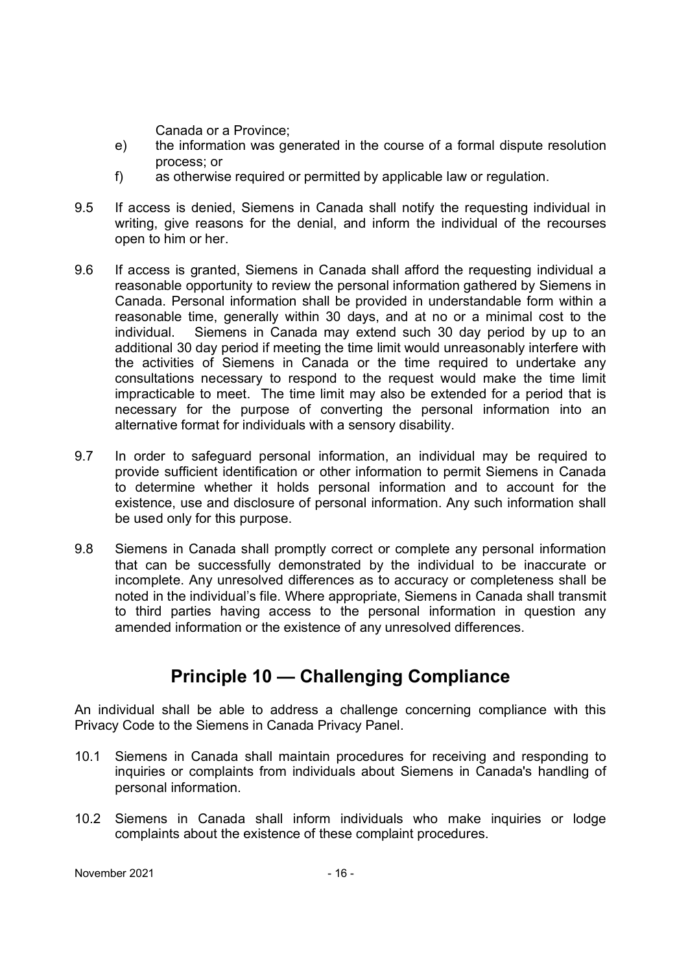Canada or a Province;

- e) the information was generated in the course of a formal dispute resolution process; or
- f) as otherwise required or permitted by applicable law or regulation.
- 9.5 If access is denied, Siemens in Canada shall notify the requesting individual in writing, give reasons for the denial, and inform the individual of the recourses open to him or her.
- 9.6 If access is granted, Siemens in Canada shall afford the requesting individual a reasonable opportunity to review the personal information gathered by Siemens in Canada. Personal information shall be provided in understandable form within a reasonable time, generally within 30 days, and at no or a minimal cost to the individual. Siemens in Canada may extend such 30 day period by up to an additional 30 day period if meeting the time limit would unreasonably interfere with the activities of Siemens in Canada or the time required to undertake any consultations necessary to respond to the request would make the time limit impracticable to meet. The time limit may also be extended for a period that is necessary for the purpose of converting the personal information into an alternative format for individuals with a sensory disability.
- 9.7 In order to safeguard personal information, an individual may be required to provide sufficient identification or other information to permit Siemens in Canada to determine whether it holds personal information and to account for the existence, use and disclosure of personal information. Any such information shall be used only for this purpose.
- 9.8 Siemens in Canada shall promptly correct or complete any personal information that can be successfully demonstrated by the individual to be inaccurate or incomplete. Any unresolved differences as to accuracy or completeness shall be noted in the individual's file. Where appropriate, Siemens in Canada shall transmit to third parties having access to the personal information in question any amended information or the existence of any unresolved differences.

# **Principle 10 — Challenging Compliance**

An individual shall be able to address a challenge concerning compliance with this Privacy Code to the Siemens in Canada Privacy Panel.

- 10.1 Siemens in Canada shall maintain procedures for receiving and responding to inquiries or complaints from individuals about Siemens in Canada's handling of personal information.
- 10.2 Siemens in Canada shall inform individuals who make inquiries or lodge complaints about the existence of these complaint procedures.

November 2021 - 16 -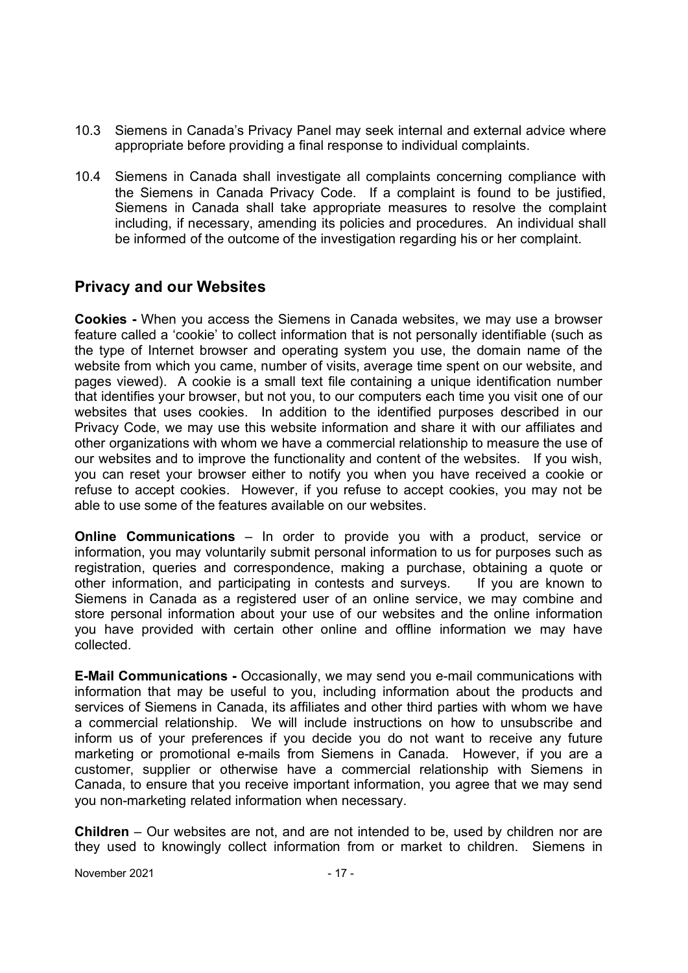- 10.3 Siemens in Canada's Privacy Panel may seek internal and external advice where appropriate before providing a final response to individual complaints.
- 10.4 Siemens in Canada shall investigate all complaints concerning compliance with the Siemens in Canada Privacy Code. If a complaint is found to be justified, Siemens in Canada shall take appropriate measures to resolve the complaint including, if necessary, amending its policies and procedures. An individual shall be informed of the outcome of the investigation regarding his or her complaint.

## **Privacy and our Websites**

**Cookies -** When you access the Siemens in Canada websites, we may use a browser feature called a 'cookie' to collect information that is not personally identifiable (such as the type of Internet browser and operating system you use, the domain name of the website from which you came, number of visits, average time spent on our website, and pages viewed). A cookie is a small text file containing a unique identification number that identifies your browser, but not you, to our computers each time you visit one of our websites that uses cookies. In addition to the identified purposes described in our Privacy Code, we may use this website information and share it with our affiliates and other organizations with whom we have a commercial relationship to measure the use of our websites and to improve the functionality and content of the websites. If you wish, you can reset your browser either to notify you when you have received a cookie or refuse to accept cookies. However, if you refuse to accept cookies, you may not be able to use some of the features available on our websites.

**Online Communications** – In order to provide you with a product, service or information, you may voluntarily submit personal information to us for purposes such as registration, queries and correspondence, making a purchase, obtaining a quote or other information, and participating in contests and surveys. If you are known to Siemens in Canada as a registered user of an online service, we may combine and store personal information about your use of our websites and the online information you have provided with certain other online and offline information we may have collected.

**E-Mail Communications -** Occasionally, we may send you e-mail communications with information that may be useful to you, including information about the products and services of Siemens in Canada, its affiliates and other third parties with whom we have a commercial relationship. We will include instructions on how to unsubscribe and inform us of your preferences if you decide you do not want to receive any future marketing or promotional e-mails from Siemens in Canada. However, if you are a customer, supplier or otherwise have a commercial relationship with Siemens in Canada, to ensure that you receive important information, you agree that we may send you non-marketing related information when necessary.

**Children** – Our websites are not, and are not intended to be, used by children nor are they used to knowingly collect information from or market to children. Siemens in

November 2021 - 17 -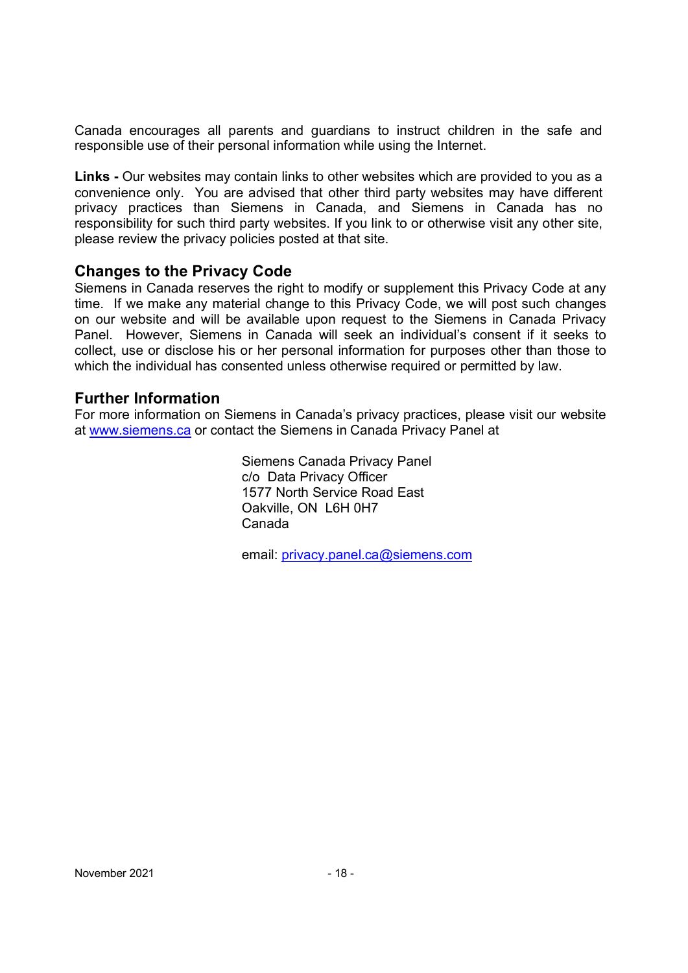Canada encourages all parents and guardians to instruct children in the safe and responsible use of their personal information while using the Internet.

**Links -** Our websites may contain links to other websites which are provided to you as a convenience only. You are advised that other third party websites may have different privacy practices than Siemens in Canada, and Siemens in Canada has no responsibility for such third party websites. If you link to or otherwise visit any other site, please review the privacy policies posted at that site.

## **Changes to the Privacy Code**

Siemens in Canada reserves the right to modify or supplement this Privacy Code at any time. If we make any material change to this Privacy Code, we will post such changes on our website and will be available upon request to the Siemens in Canada Privacy Panel. However, Siemens in Canada will seek an individual's consent if it seeks to collect, use or disclose his or her personal information for purposes other than those to which the individual has consented unless otherwise required or permitted by law.

## **Further Information**

For more information on Siemens in Canada's privacy practices, please visit our website at www.siemens.ca or contact the Siemens in Canada Privacy Panel at

> Siemens Canada Privacy Panel c/o Data Privacy Officer 1577 North Service Road East Oakville, ON L6H 0H7 Canada

email: privacy.panel.ca@siemens.com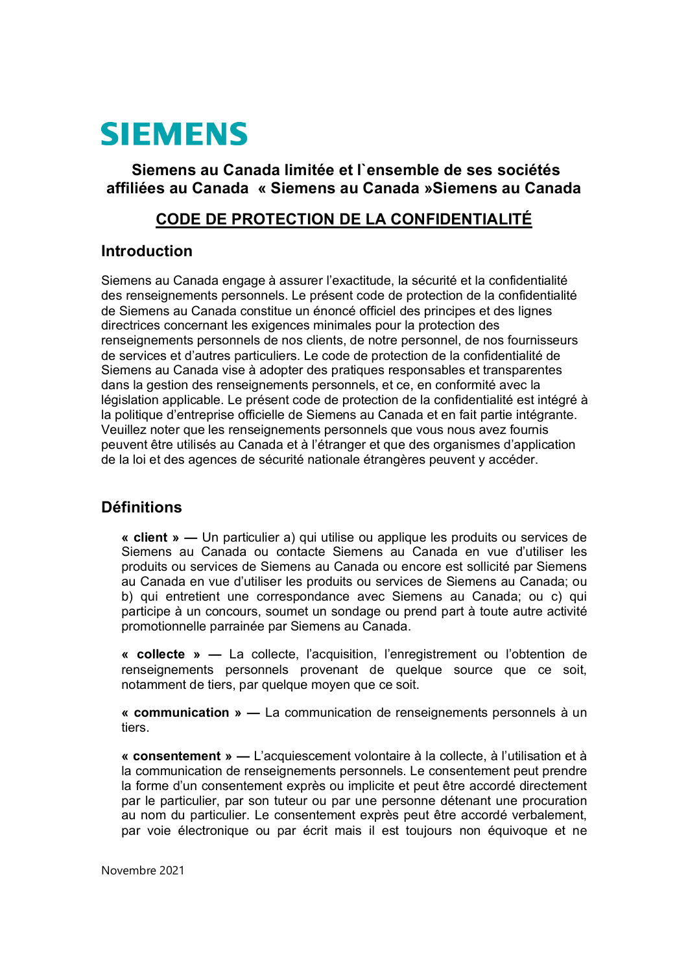# **SIEMENS**

## **Siemens au Canada limitée et l`ensemble de ses sociétés affiliées au Canada « Siemens au Canada »Siemens au Canada**

## **CODE DE PROTECTION DE LA CONFIDENTIALITÉ**

## **Introduction**

Siemens au Canada engage à assurer l'exactitude, la sécurité et la confidentialité des renseignements personnels. Le présent code de protection de la confidentialité de Siemens au Canada constitue un énoncé officiel des principes et des lignes directrices concernant les exigences minimales pour la protection des renseignements personnels de nos clients, de notre personnel, de nos fournisseurs de services et d'autres particuliers. Le code de protection de la confidentialité de Siemens au Canada vise à adopter des pratiques responsables et transparentes dans la gestion des renseignements personnels, et ce, en conformité avec la législation applicable. Le présent code de protection de la confidentialité est intégré à la politique d'entreprise officielle de Siemens au Canada et en fait partie intégrante. Veuillez noter que les renseignements personnels que vous nous avez fournis peuvent être utilisés au Canada et à l'étranger et que des organismes d'application de la loi et des agences de sécurité nationale étrangères peuvent y accéder.

## **Définitions**

**« client » —** Un particulier a) qui utilise ou applique les produits ou services de Siemens au Canada ou contacte Siemens au Canada en vue d'utiliser les produits ou services de Siemens au Canada ou encore est sollicité par Siemens au Canada en vue d'utiliser les produits ou services de Siemens au Canada; ou b) qui entretient une correspondance avec Siemens au Canada; ou c) qui participe à un concours, soumet un sondage ou prend part à toute autre activité promotionnelle parrainée par Siemens au Canada.

**« collecte » —** La collecte, l'acquisition, l'enregistrement ou l'obtention de renseignements personnels provenant de quelque source que ce soit, notamment de tiers, par quelque moyen que ce soit.

**« communication » —** La communication de renseignements personnels à un tiers.

**« consentement » —** L'acquiescement volontaire à la collecte, à l'utilisation et à la communication de renseignements personnels. Le consentement peut prendre la forme d'un consentement exprès ou implicite et peut être accordé directement par le particulier, par son tuteur ou par une personne détenant une procuration au nom du particulier. Le consentement exprès peut être accordé verbalement, par voie électronique ou par écrit mais il est toujours non équivoque et ne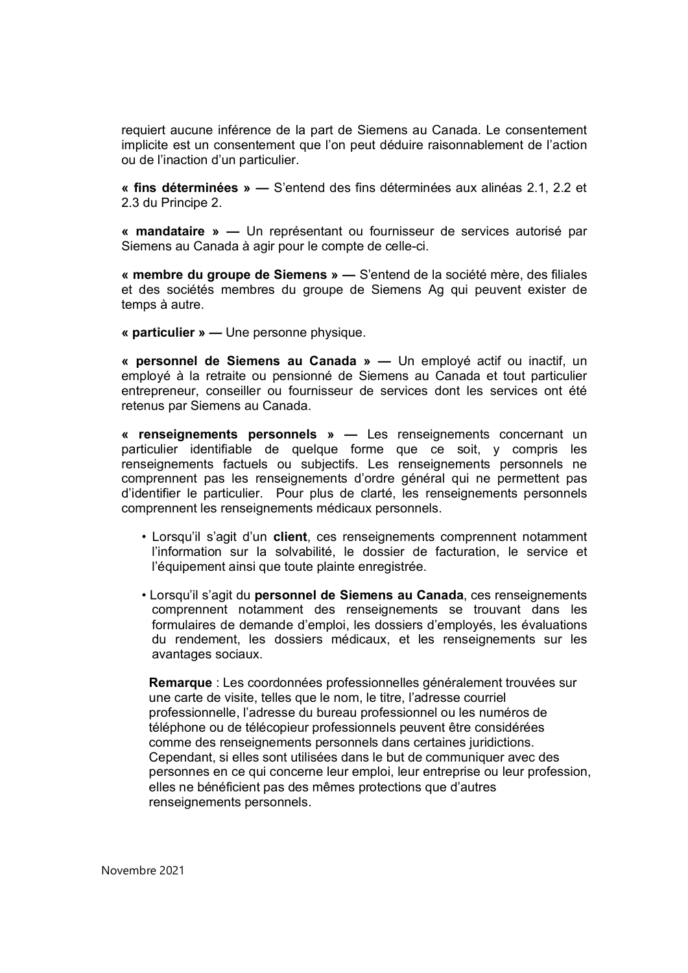requiert aucune inférence de la part de Siemens au Canada. Le consentement implicite est un consentement que l'on peut déduire raisonnablement de l'action ou de l'inaction d'un particulier.

**« fins déterminées » —** S'entend des fins déterminées aux alinéas 2.1, 2.2 et 2.3 du Principe 2.

**« mandataire » —** Un représentant ou fournisseur de services autorisé par Siemens au Canada à agir pour le compte de celle-ci.

**« membre du groupe de Siemens » —** S'entend de la société mère, des filiales et des sociétés membres du groupe de Siemens Ag qui peuvent exister de temps à autre.

**« particulier » —** Une personne physique.

**« personnel de Siemens au Canada » —** Un employé actif ou inactif, un employé à la retraite ou pensionné de Siemens au Canada et tout particulier entrepreneur, conseiller ou fournisseur de services dont les services ont été retenus par Siemens au Canada.

**« renseignements personnels » —** Les renseignements concernant un particulier identifiable de quelque forme que ce soit, y compris les renseignements factuels ou subjectifs. Les renseignements personnels ne comprennent pas les renseignements d'ordre général qui ne permettent pas d'identifier le particulier. Pour plus de clarté, les renseignements personnels comprennent les renseignements médicaux personnels.

- Lorsqu'il s'agit d'un **client**, ces renseignements comprennent notamment l'information sur la solvabilité, le dossier de facturation, le service et l'équipement ainsi que toute plainte enregistrée.
- Lorsqu'il s'agit du **personnel de Siemens au Canada**, ces renseignements comprennent notamment des renseignements se trouvant dans les formulaires de demande d'emploi, les dossiers d'employés, les évaluations du rendement, les dossiers médicaux, et les renseignements sur les avantages sociaux.

**Remarque** : Les coordonnées professionnelles généralement trouvées sur une carte de visite, telles que le nom, le titre, l'adresse courriel professionnelle, l'adresse du bureau professionnel ou les numéros de téléphone ou de télécopieur professionnels peuvent être considérées comme des renseignements personnels dans certaines juridictions. Cependant, si elles sont utilisées dans le but de communiquer avec des personnes en ce qui concerne leur emploi, leur entreprise ou leur profession, elles ne bénéficient pas des mêmes protections que d'autres renseignements personnels.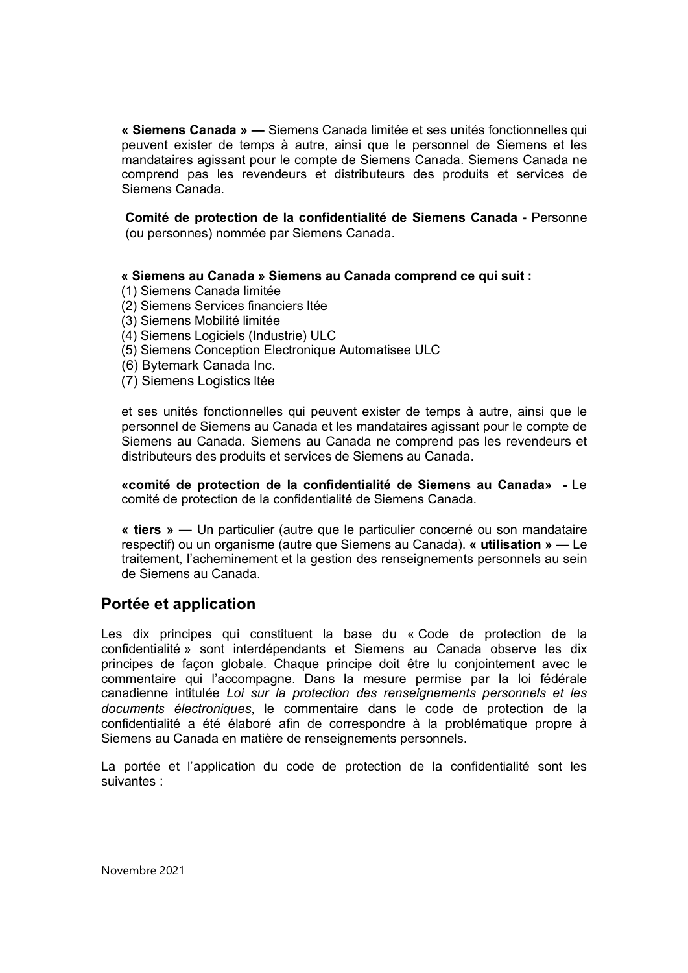**« Siemens Canada » —** Siemens Canada limitée et ses unités fonctionnelles qui peuvent exister de temps à autre, ainsi que le personnel de Siemens et les mandataires agissant pour le compte de Siemens Canada. Siemens Canada ne comprend pas les revendeurs et distributeurs des produits et services de Siemens Canada.

**Comité de protection de la confidentialité de Siemens Canada -** Personne (ou personnes) nommée par Siemens Canada.

#### **« Siemens au Canada » Siemens au Canada comprend ce qui suit :**

- (1) Siemens Canada limitée
- (2) Siemens Services financiers ltée
- (3) Siemens Mobilité limitée
- (4) Siemens Logiciels (Industrie) ULC
- (5) Siemens Conception Electronique Automatisee ULC
- (6) Bytemark Canada Inc.
- (7) Siemens Logistics ltée

et ses unités fonctionnelles qui peuvent exister de temps à autre, ainsi que le personnel de Siemens au Canada et les mandataires agissant pour le compte de Siemens au Canada. Siemens au Canada ne comprend pas les revendeurs et distributeurs des produits et services de Siemens au Canada.

**«comité de protection de la confidentialité de Siemens au Canada» -** Le comité de protection de la confidentialité de Siemens Canada.

**« tiers » —** Un particulier (autre que le particulier concerné ou son mandataire respectif) ou un organisme (autre que Siemens au Canada). **« utilisation » —** Le traitement, l'acheminement et la gestion des renseignements personnels au sein de Siemens au Canada.

## **Portée et application**

Les dix principes qui constituent la base du « Code de protection de la confidentialité » sont interdépendants et Siemens au Canada observe les dix principes de façon globale. Chaque principe doit être lu conjointement avec le commentaire qui l'accompagne. Dans la mesure permise par la loi fédérale canadienne intitulée *Loi sur la protection des renseignements personnels et les documents électroniques*, le commentaire dans le code de protection de la confidentialité a été élaboré afin de correspondre à la problématique propre à Siemens au Canada en matière de renseignements personnels.

La portée et l'application du code de protection de la confidentialité sont les suivantes :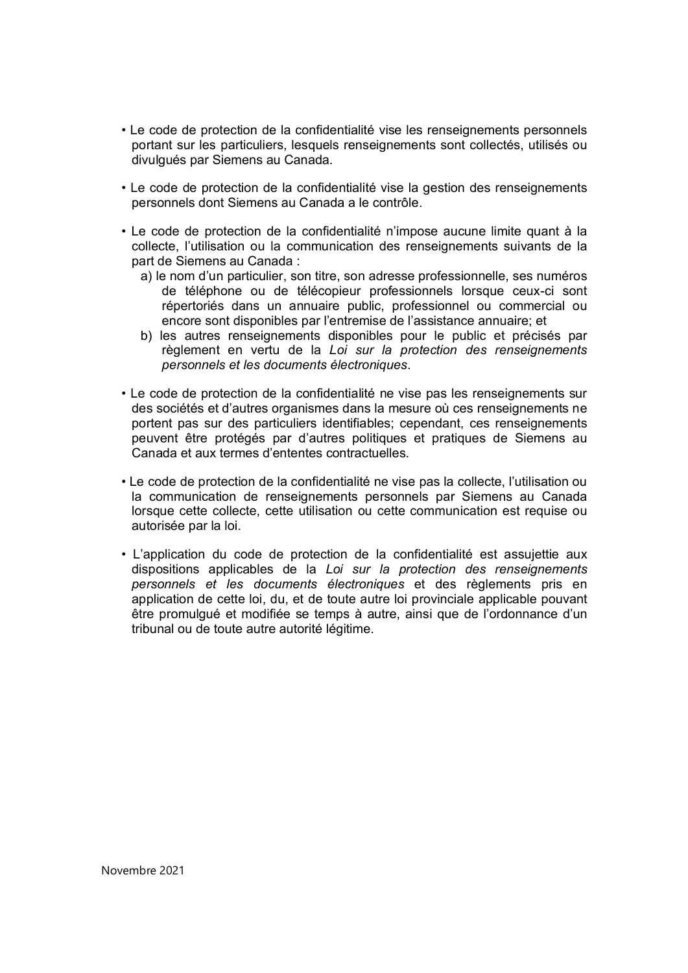- Le code de protection de la confidentialité vise les renseignements personnels portant sur les particuliers, lesquels renseignements sont collectés, utilisés ou divulgués par Siemens au Canada.
- Le code de protection de la confidentialité vise la gestion des renseignements personnels dont Siemens au Canada a le contrôle.
- Le code de protection de la confidentialité n'impose aucune limite quant à la collecte, l'utilisation ou la communication des renseignements suivants de la part de Siemens au Canada :
	- a) le nom d'un particulier, son titre, son adresse professionnelle, ses numéros de téléphone ou de télécopieur professionnels lorsque ceux-ci sont répertoriés dans un annuaire public, professionnel ou commercial ou encore sont disponibles par l'entremise de l'assistance annuaire; et
	- b) les autres renseignements disponibles pour le public et précisés par règlement en vertu de la *Loi sur la protection des renseignements personnels et les documents électroniques*.
- Le code de protection de la confidentialité ne vise pas les renseignements sur des sociétés et d'autres organismes dans la mesure où ces renseignements ne portent pas sur des particuliers identifiables; cependant, ces renseignements peuvent être protégés par d'autres politiques et pratiques de Siemens au Canada et aux termes d'ententes contractuelles.
- Le code de protection de la confidentialité ne vise pas la collecte, l'utilisation ou la communication de renseignements personnels par Siemens au Canada lorsque cette collecte, cette utilisation ou cette communication est requise ou autorisée par la loi.
- L'application du code de protection de la confidentialité est assujettie aux dispositions applicables de la *Loi sur la protection des renseignements personnels et les documents électroniques* et des règlements pris en application de cette loi, du, et de toute autre loi provinciale applicable pouvant être promulgué et modifiée se temps à autre, ainsi que de l'ordonnance d'un tribunal ou de toute autre autorité légitime.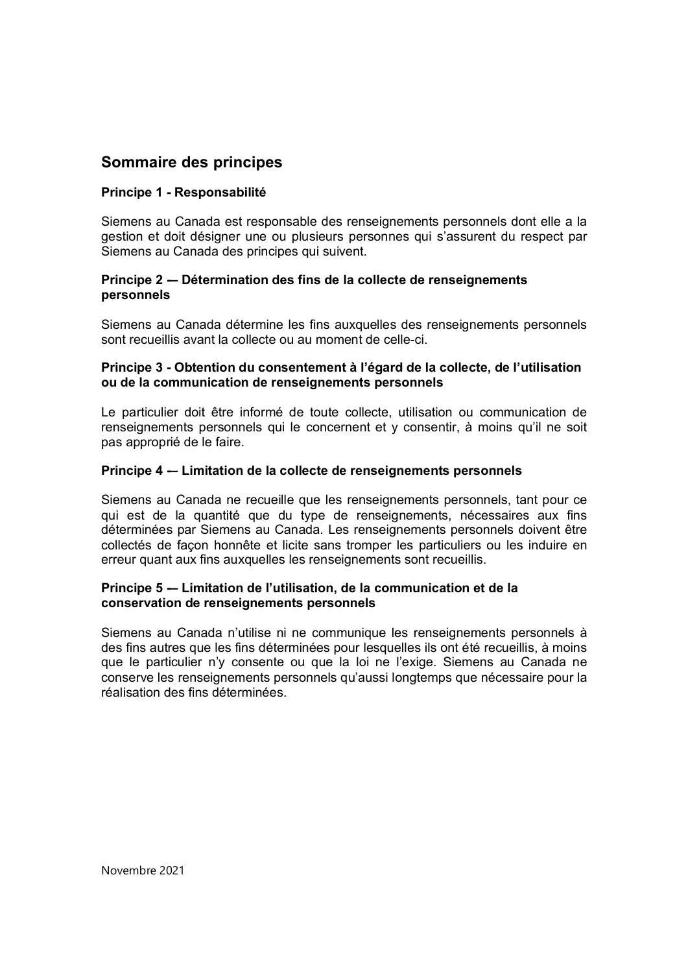## **Sommaire des principes**

#### **Principe 1 - Responsabilité**

Siemens au Canada est responsable des renseignements personnels dont elle a la gestion et doit désigner une ou plusieurs personnes qui s'assurent du respect par Siemens au Canada des principes qui suivent.

#### **Principe 2 -– Détermination des fins de la collecte de renseignements personnels**

Siemens au Canada détermine les fins auxquelles des renseignements personnels sont recueillis avant la collecte ou au moment de celle-ci.

#### **Principe 3 - Obtention du consentement à l'égard de la collecte, de l'utilisation ou de la communication de renseignements personnels**

Le particulier doit être informé de toute collecte, utilisation ou communication de renseignements personnels qui le concernent et y consentir, à moins qu'il ne soit pas approprié de le faire.

#### **Principe 4 -– Limitation de la collecte de renseignements personnels**

Siemens au Canada ne recueille que les renseignements personnels, tant pour ce qui est de la quantité que du type de renseignements, nécessaires aux fins déterminées par Siemens au Canada. Les renseignements personnels doivent être collectés de façon honnête et licite sans tromper les particuliers ou les induire en erreur quant aux fins auxquelles les renseignements sont recueillis.

#### **Principe 5 -– Limitation de l'utilisation, de la communication et de la conservation de renseignements personnels**

Siemens au Canada n'utilise ni ne communique les renseignements personnels à des fins autres que les fins déterminées pour lesquelles ils ont été recueillis, à moins que le particulier n'y consente ou que la loi ne l'exige. Siemens au Canada ne conserve les renseignements personnels qu'aussi longtemps que nécessaire pour la réalisation des fins déterminées.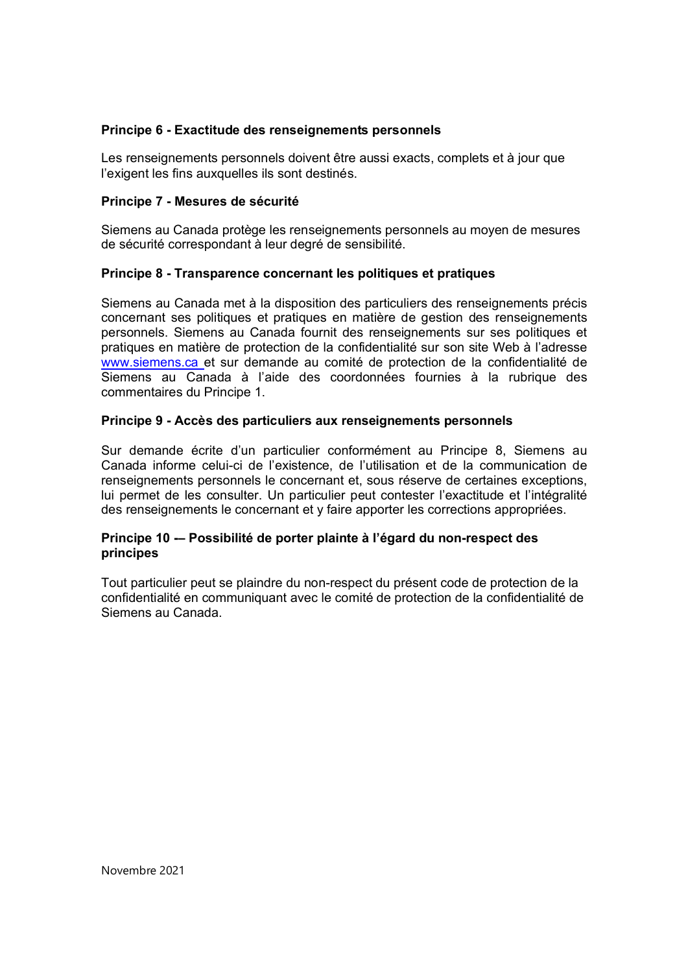#### **Principe 6 - Exactitude des renseignements personnels**

Les renseignements personnels doivent être aussi exacts, complets et à jour que l'exigent les fins auxquelles ils sont destinés.

#### **Principe 7 - Mesures de sécurité**

Siemens au Canada protège les renseignements personnels au moyen de mesures de sécurité correspondant à leur degré de sensibilité.

#### **Principe 8 - Transparence concernant les politiques et pratiques**

Siemens au Canada met à la disposition des particuliers des renseignements précis concernant ses politiques et pratiques en matière de gestion des renseignements personnels. Siemens au Canada fournit des renseignements sur ses politiques et pratiques en matière de protection de la confidentialité sur son site Web à l'adresse www.siemens.ca et sur demande au comité de protection de la confidentialité de Siemens au Canada à l'aide des coordonnées fournies à la rubrique des commentaires du Principe 1.

#### **Principe 9 - Accès des particuliers aux renseignements personnels**

Sur demande écrite d'un particulier conformément au Principe 8, Siemens au Canada informe celui-ci de l'existence, de l'utilisation et de la communication de renseignements personnels le concernant et, sous réserve de certaines exceptions, lui permet de les consulter. Un particulier peut contester l'exactitude et l'intégralité des renseignements le concernant et y faire apporter les corrections appropriées.

#### **Principe 10 -– Possibilité de porter plainte à l'égard du non-respect des principes**

Tout particulier peut se plaindre du non-respect du présent code de protection de la confidentialité en communiquant avec le comité de protection de la confidentialité de Siemens au Canada.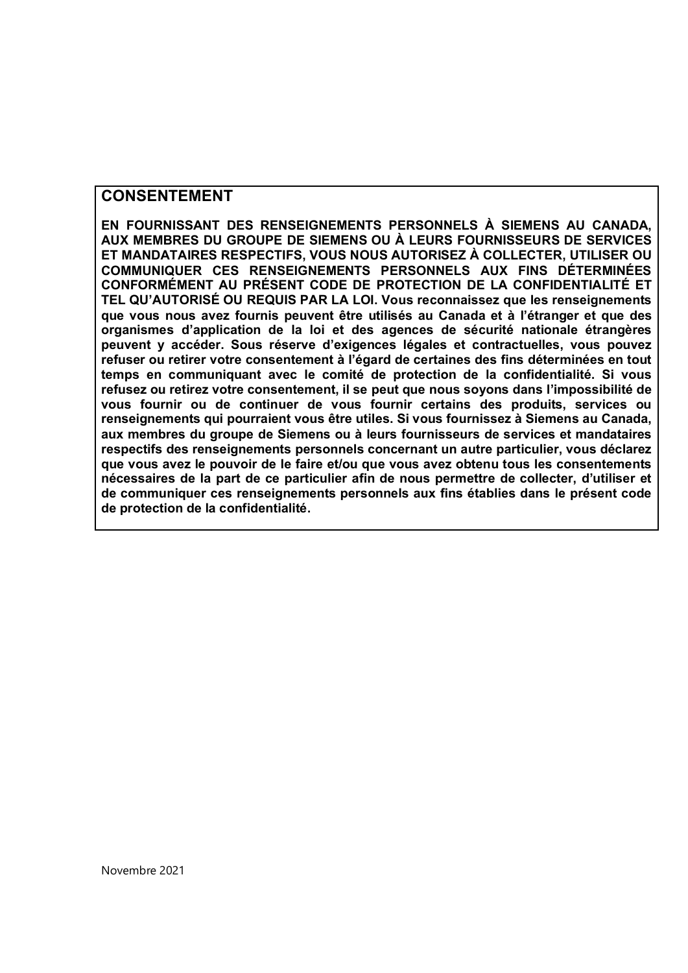## **CONSENTEMENT**

**EN FOURNISSANT DES RENSEIGNEMENTS PERSONNELS À SIEMENS AU CANADA, AUX MEMBRES DU GROUPE DE SIEMENS OU À LEURS FOURNISSEURS DE SERVICES ET MANDATAIRES RESPECTIFS, VOUS NOUS AUTORISEZ À COLLECTER, UTILISER OU COMMUNIQUER CES RENSEIGNEMENTS PERSONNELS AUX FINS DÉTERMINÉES CONFORMÉMENT AU PRÉSENT CODE DE PROTECTION DE LA CONFIDENTIALITÉ ET TEL QU'AUTORISÉ OU REQUIS PAR LA LOI. Vous reconnaissez que les renseignements que vous nous avez fournis peuvent être utilisés au Canada et à l'étranger et que des organismes d'application de la loi et des agences de sécurité nationale étrangères peuvent y accéder. Sous réserve d'exigences légales et contractuelles, vous pouvez refuser ou retirer votre consentement à l'égard de certaines des fins déterminées en tout temps en communiquant avec le comité de protection de la confidentialité. Si vous refusez ou retirez votre consentement, il se peut que nous soyons dans l'impossibilité de vous fournir ou de continuer de vous fournir certains des produits, services ou renseignements qui pourraient vous être utiles. Si vous fournissez à Siemens au Canada, aux membres du groupe de Siemens ou à leurs fournisseurs de services et mandataires respectifs des renseignements personnels concernant un autre particulier, vous déclarez que vous avez le pouvoir de le faire et/ou que vous avez obtenu tous les consentements nécessaires de la part de ce particulier afin de nous permettre de collecter, d'utiliser et de communiquer ces renseignements personnels aux fins établies dans le présent code de protection de la confidentialité.**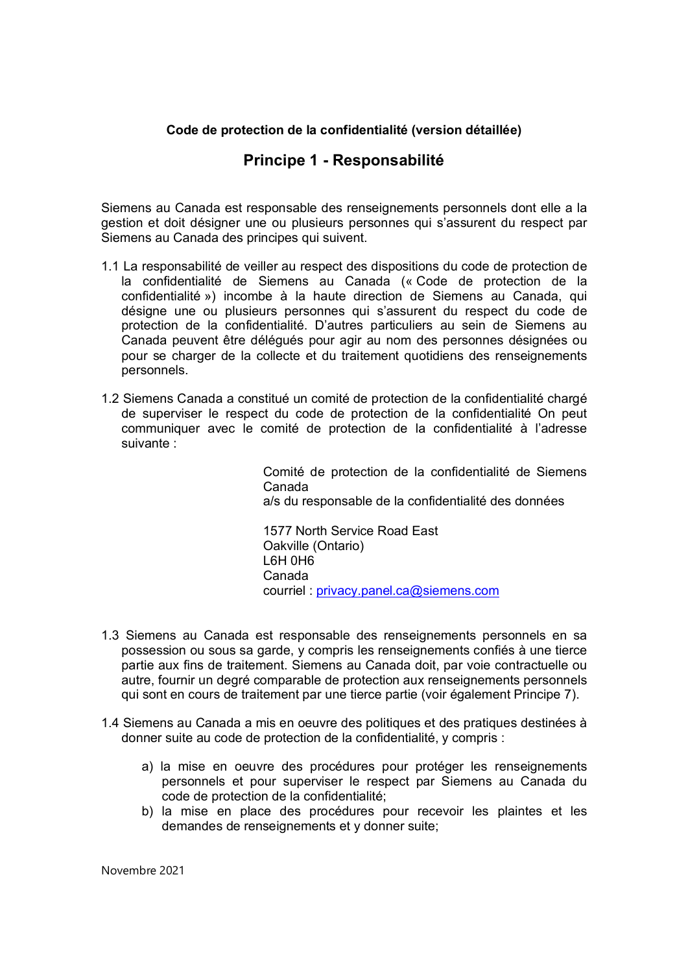#### **Code de protection de la confidentialité (version détaillée)**

#### **Principe 1 - Responsabilité**

Siemens au Canada est responsable des renseignements personnels dont elle a la gestion et doit désigner une ou plusieurs personnes qui s'assurent du respect par Siemens au Canada des principes qui suivent.

- 1.1 La responsabilité de veiller au respect des dispositions du code de protection de la confidentialité de Siemens au Canada (« Code de protection de la confidentialité ») incombe à la haute direction de Siemens au Canada, qui désigne une ou plusieurs personnes qui s'assurent du respect du code de protection de la confidentialité. D'autres particuliers au sein de Siemens au Canada peuvent être délégués pour agir au nom des personnes désignées ou pour se charger de la collecte et du traitement quotidiens des renseignements personnels.
- 1.2 Siemens Canada a constitué un comité de protection de la confidentialité chargé de superviser le respect du code de protection de la confidentialité On peut communiquer avec le comité de protection de la confidentialité à l'adresse suivante :

Comité de protection de la confidentialité de Siemens Canada a/s du responsable de la confidentialité des données

1577 North Service Road East Oakville (Ontario) L6H 0H6 Canada courriel : privacy.panel.ca@siemens.com

- 1.3 Siemens au Canada est responsable des renseignements personnels en sa possession ou sous sa garde, y compris les renseignements confiés à une tierce partie aux fins de traitement. Siemens au Canada doit, par voie contractuelle ou autre, fournir un degré comparable de protection aux renseignements personnels qui sont en cours de traitement par une tierce partie (voir également Principe 7).
- 1.4 Siemens au Canada a mis en oeuvre des politiques et des pratiques destinées à donner suite au code de protection de la confidentialité, y compris :
	- a) la mise en oeuvre des procédures pour protéger les renseignements personnels et pour superviser le respect par Siemens au Canada du code de protection de la confidentialité;
	- b) la mise en place des procédures pour recevoir les plaintes et les demandes de renseignements et y donner suite;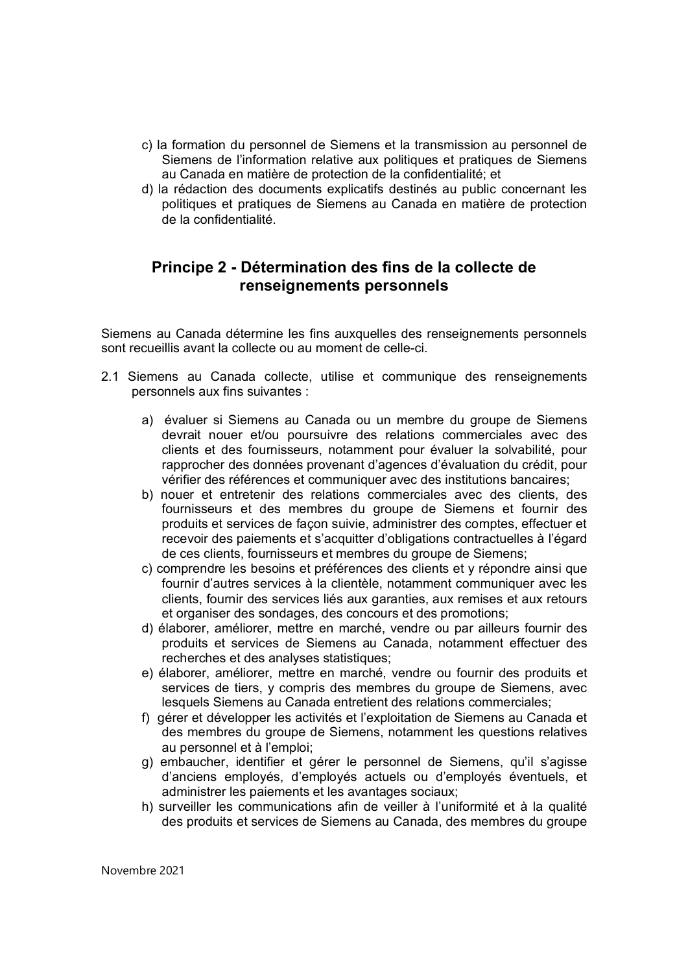- c) la formation du personnel de Siemens et la transmission au personnel de Siemens de l'information relative aux politiques et pratiques de Siemens au Canada en matière de protection de la confidentialité; et
- d) la rédaction des documents explicatifs destinés au public concernant les politiques et pratiques de Siemens au Canada en matière de protection de la confidentialité.

## **Principe 2 - Détermination des fins de la collecte de renseignements personnels**

Siemens au Canada détermine les fins auxquelles des renseignements personnels sont recueillis avant la collecte ou au moment de celle-ci.

- 2.1 Siemens au Canada collecte, utilise et communique des renseignements personnels aux fins suivantes :
	- a) évaluer si Siemens au Canada ou un membre du groupe de Siemens devrait nouer et/ou poursuivre des relations commerciales avec des clients et des fournisseurs, notamment pour évaluer la solvabilité, pour rapprocher des données provenant d'agences d'évaluation du crédit, pour vérifier des références et communiquer avec des institutions bancaires;
	- b) nouer et entretenir des relations commerciales avec des clients, des fournisseurs et des membres du groupe de Siemens et fournir des produits et services de façon suivie, administrer des comptes, effectuer et recevoir des paiements et s'acquitter d'obligations contractuelles à l'égard de ces clients, fournisseurs et membres du groupe de Siemens;
	- c) comprendre les besoins et préférences des clients et y répondre ainsi que fournir d'autres services à la clientèle, notamment communiquer avec les clients, fournir des services liés aux garanties, aux remises et aux retours et organiser des sondages, des concours et des promotions;
	- d) élaborer, améliorer, mettre en marché, vendre ou par ailleurs fournir des produits et services de Siemens au Canada, notamment effectuer des recherches et des analyses statistiques;
	- e) élaborer, améliorer, mettre en marché, vendre ou fournir des produits et services de tiers, y compris des membres du groupe de Siemens, avec lesquels Siemens au Canada entretient des relations commerciales;
	- f) gérer et développer les activités et l'exploitation de Siemens au Canada et des membres du groupe de Siemens, notamment les questions relatives au personnel et à l'emploi;
	- g) embaucher, identifier et gérer le personnel de Siemens, qu'il s'agisse d'anciens employés, d'employés actuels ou d'employés éventuels, et administrer les paiements et les avantages sociaux;
	- h) surveiller les communications afin de veiller à l'uniformité et à la qualité des produits et services de Siemens au Canada, des membres du groupe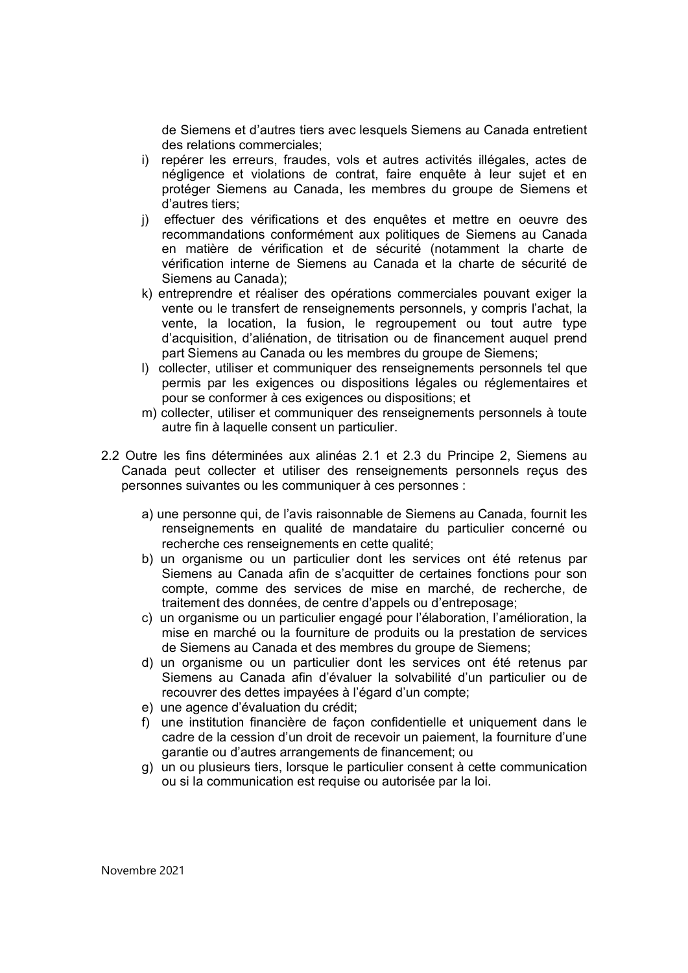de Siemens et d'autres tiers avec lesquels Siemens au Canada entretient des relations commerciales;

- i) repérer les erreurs, fraudes, vols et autres activités illégales, actes de négligence et violations de contrat, faire enquête à leur sujet et en protéger Siemens au Canada, les membres du groupe de Siemens et d'autres tiers;
- j) effectuer des vérifications et des enquêtes et mettre en oeuvre des recommandations conformément aux politiques de Siemens au Canada en matière de vérification et de sécurité (notamment la charte de vérification interne de Siemens au Canada et la charte de sécurité de Siemens au Canada);
- k) entreprendre et réaliser des opérations commerciales pouvant exiger la vente ou le transfert de renseignements personnels, y compris l'achat, la vente, la location, la fusion, le regroupement ou tout autre type d'acquisition, d'aliénation, de titrisation ou de financement auquel prend part Siemens au Canada ou les membres du groupe de Siemens;
- l) collecter, utiliser et communiquer des renseignements personnels tel que permis par les exigences ou dispositions légales ou réglementaires et pour se conformer à ces exigences ou dispositions; et
- m) collecter, utiliser et communiquer des renseignements personnels à toute autre fin à laquelle consent un particulier.
- 2.2 Outre les fins déterminées aux alinéas 2.1 et 2.3 du Principe 2, Siemens au Canada peut collecter et utiliser des renseignements personnels reçus des personnes suivantes ou les communiquer à ces personnes :
	- a) une personne qui, de l'avis raisonnable de Siemens au Canada, fournit les renseignements en qualité de mandataire du particulier concerné ou recherche ces renseignements en cette qualité;
	- b) un organisme ou un particulier dont les services ont été retenus par Siemens au Canada afin de s'acquitter de certaines fonctions pour son compte, comme des services de mise en marché, de recherche, de traitement des données, de centre d'appels ou d'entreposage;
	- c) un organisme ou un particulier engagé pour l'élaboration, l'amélioration, la mise en marché ou la fourniture de produits ou la prestation de services de Siemens au Canada et des membres du groupe de Siemens;
	- d) un organisme ou un particulier dont les services ont été retenus par Siemens au Canada afin d'évaluer la solvabilité d'un particulier ou de recouvrer des dettes impayées à l'égard d'un compte;
	- e) une agence d'évaluation du crédit;
	- f) une institution financière de façon confidentielle et uniquement dans le cadre de la cession d'un droit de recevoir un paiement, la fourniture d'une garantie ou d'autres arrangements de financement; ou
	- g) un ou plusieurs tiers, lorsque le particulier consent à cette communication ou si la communication est requise ou autorisée par la loi.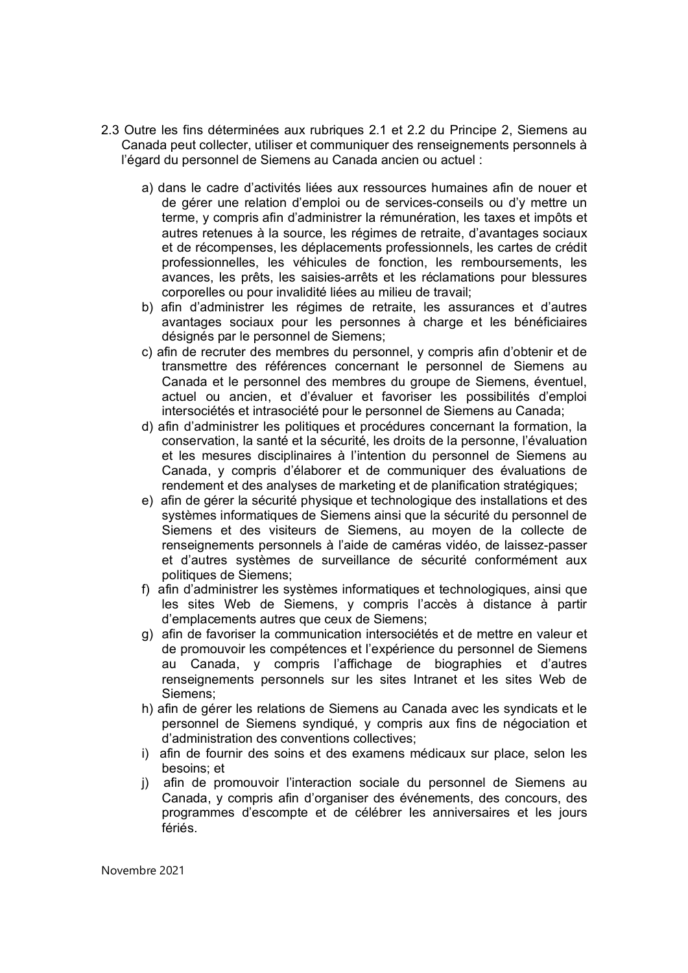- 2.3 Outre les fins déterminées aux rubriques 2.1 et 2.2 du Principe 2, Siemens au Canada peut collecter, utiliser et communiquer des renseignements personnels à l'égard du personnel de Siemens au Canada ancien ou actuel :
	- a) dans le cadre d'activités liées aux ressources humaines afin de nouer et de gérer une relation d'emploi ou de services-conseils ou d'y mettre un terme, y compris afin d'administrer la rémunération, les taxes et impôts et autres retenues à la source, les régimes de retraite, d'avantages sociaux et de récompenses, les déplacements professionnels, les cartes de crédit professionnelles, les véhicules de fonction, les remboursements, les avances, les prêts, les saisies-arrêts et les réclamations pour blessures corporelles ou pour invalidité liées au milieu de travail;
	- b) afin d'administrer les régimes de retraite, les assurances et d'autres avantages sociaux pour les personnes à charge et les bénéficiaires désignés par le personnel de Siemens;
	- c) afin de recruter des membres du personnel, y compris afin d'obtenir et de transmettre des références concernant le personnel de Siemens au Canada et le personnel des membres du groupe de Siemens, éventuel, actuel ou ancien, et d'évaluer et favoriser les possibilités d'emploi intersociétés et intrasociété pour le personnel de Siemens au Canada;
	- d) afin d'administrer les politiques et procédures concernant la formation, la conservation, la santé et la sécurité, les droits de la personne, l'évaluation et les mesures disciplinaires à l'intention du personnel de Siemens au Canada, y compris d'élaborer et de communiquer des évaluations de rendement et des analyses de marketing et de planification stratégiques;
	- e) afin de gérer la sécurité physique et technologique des installations et des systèmes informatiques de Siemens ainsi que la sécurité du personnel de Siemens et des visiteurs de Siemens, au moyen de la collecte de renseignements personnels à l'aide de caméras vidéo, de laissez-passer et d'autres systèmes de surveillance de sécurité conformément aux politiques de Siemens;
	- f) afin d'administrer les systèmes informatiques et technologiques, ainsi que les sites Web de Siemens, y compris l'accès à distance à partir d'emplacements autres que ceux de Siemens;
	- g) afin de favoriser la communication intersociétés et de mettre en valeur et de promouvoir les compétences et l'expérience du personnel de Siemens au Canada, y compris l'affichage de biographies et d'autres renseignements personnels sur les sites Intranet et les sites Web de Siemens;
	- h) afin de gérer les relations de Siemens au Canada avec les syndicats et le personnel de Siemens syndiqué, y compris aux fins de négociation et d'administration des conventions collectives;
	- i) afin de fournir des soins et des examens médicaux sur place, selon les besoins; et
	- j) afin de promouvoir l'interaction sociale du personnel de Siemens au Canada, y compris afin d'organiser des événements, des concours, des programmes d'escompte et de célébrer les anniversaires et les jours fériés.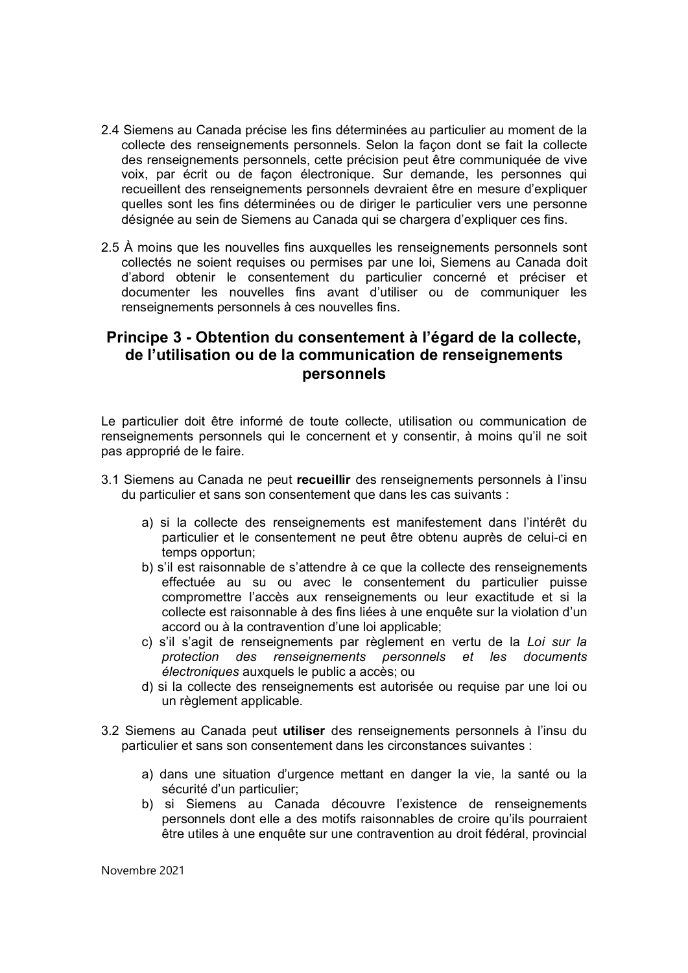- 2.4 Siemens au Canada précise les fins déterminées au particulier au moment de la collecte des renseignements personnels. Selon la façon dont se fait la collecte des renseignements personnels, cette précision peut être communiquée de vive voix, par écrit ou de façon électronique. Sur demande, les personnes qui recueillent des renseignements personnels devraient être en mesure d'expliquer quelles sont les fins déterminées ou de diriger le particulier vers une personne désignée au sein de Siemens au Canada qui se chargera d'expliquer ces fins.
- 2.5 À moins que les nouvelles fins auxquelles les renseignements personnels sont collectés ne soient requises ou permises par une loi, Siemens au Canada doit d'abord obtenir le consentement du particulier concerné et préciser et documenter les nouvelles fins avant d'utiliser ou de communiquer les renseignements personnels à ces nouvelles fins.

## **Principe 3 - Obtention du consentement à l'égard de la collecte, de l'utilisation ou de la communication de renseignements personnels**

Le particulier doit être informé de toute collecte, utilisation ou communication de renseignements personnels qui le concernent et y consentir, à moins qu'il ne soit pas approprié de le faire.

- 3.1 Siemens au Canada ne peut **recueillir** des renseignements personnels à l'insu du particulier et sans son consentement que dans les cas suivants :
	- a) si la collecte des renseignements est manifestement dans l'intérêt du particulier et le consentement ne peut être obtenu auprès de celui-ci en temps opportun;
	- b) s'il est raisonnable de s'attendre à ce que la collecte des renseignements effectuée au su ou avec le consentement du particulier puisse compromettre l'accès aux renseignements ou leur exactitude et si la collecte est raisonnable à des fins liées à une enquête sur la violation d'un accord ou à la contravention d'une loi applicable;
	- c) s'il s'agit de renseignements par règlement en vertu de la *Loi sur la protection des renseignements personnels et les documents électroniques* auxquels le public a accès; ou
	- d) si la collecte des renseignements est autorisée ou requise par une loi ou un règlement applicable.
- 3.2 Siemens au Canada peut **utiliser** des renseignements personnels à l'insu du particulier et sans son consentement dans les circonstances suivantes :
	- a) dans une situation d'urgence mettant en danger la vie, la santé ou la sécurité d'un particulier;
	- b) si Siemens au Canada découvre l'existence de renseignements personnels dont elle a des motifs raisonnables de croire qu'ils pourraient être utiles à une enquête sur une contravention au droit fédéral, provincial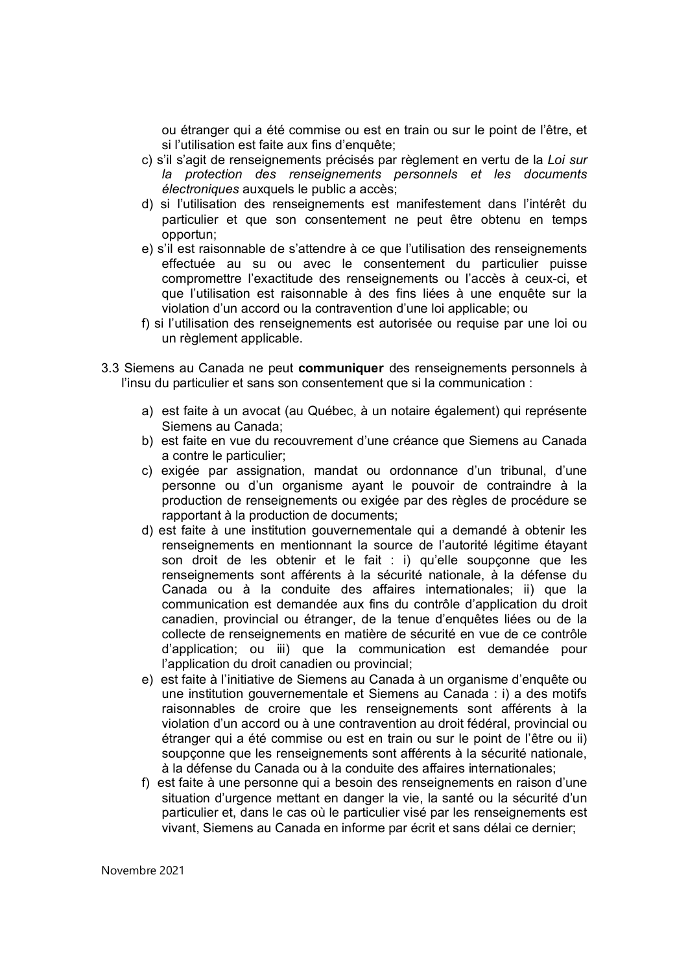ou étranger qui a été commise ou est en train ou sur le point de l'être, et si l'utilisation est faite aux fins d'enquête;

- c) s'il s'agit de renseignements précisés par règlement en vertu de la *Loi sur la protection des renseignements personnels et les documents électroniques* auxquels le public a accès;
- d) si l'utilisation des renseignements est manifestement dans l'intérêt du particulier et que son consentement ne peut être obtenu en temps opportun;
- e) s'il est raisonnable de s'attendre à ce que l'utilisation des renseignements effectuée au su ou avec le consentement du particulier puisse compromettre l'exactitude des renseignements ou l'accès à ceux-ci, et que l'utilisation est raisonnable à des fins liées à une enquête sur la violation d'un accord ou la contravention d'une loi applicable; ou
- f) si l'utilisation des renseignements est autorisée ou requise par une loi ou un règlement applicable.
- 3.3 Siemens au Canada ne peut **communiquer** des renseignements personnels à l'insu du particulier et sans son consentement que si la communication :
	- a) est faite à un avocat (au Québec, à un notaire également) qui représente Siemens au Canada;
	- b) est faite en vue du recouvrement d'une créance que Siemens au Canada a contre le particulier;
	- c) exigée par assignation, mandat ou ordonnance d'un tribunal, d'une personne ou d'un organisme ayant le pouvoir de contraindre à la production de renseignements ou exigée par des règles de procédure se rapportant à la production de documents;
	- d) est faite à une institution gouvernementale qui a demandé à obtenir les renseignements en mentionnant la source de l'autorité légitime étayant son droit de les obtenir et le fait : i) qu'elle soupçonne que les renseignements sont afférents à la sécurité nationale, à la défense du Canada ou à la conduite des affaires internationales; ii) que la communication est demandée aux fins du contrôle d'application du droit canadien, provincial ou étranger, de la tenue d'enquêtes liées ou de la collecte de renseignements en matière de sécurité en vue de ce contrôle d'application; ou iii) que la communication est demandée pour l'application du droit canadien ou provincial;
	- e) est faite à l'initiative de Siemens au Canada à un organisme d'enquête ou une institution gouvernementale et Siemens au Canada : i) a des motifs raisonnables de croire que les renseignements sont afférents à la violation d'un accord ou à une contravention au droit fédéral, provincial ou étranger qui a été commise ou est en train ou sur le point de l'être ou ii) soupçonne que les renseignements sont afférents à la sécurité nationale, à la défense du Canada ou à la conduite des affaires internationales;
	- f) est faite à une personne qui a besoin des renseignements en raison d'une situation d'urgence mettant en danger la vie, la santé ou la sécurité d'un particulier et, dans le cas où le particulier visé par les renseignements est vivant, Siemens au Canada en informe par écrit et sans délai ce dernier;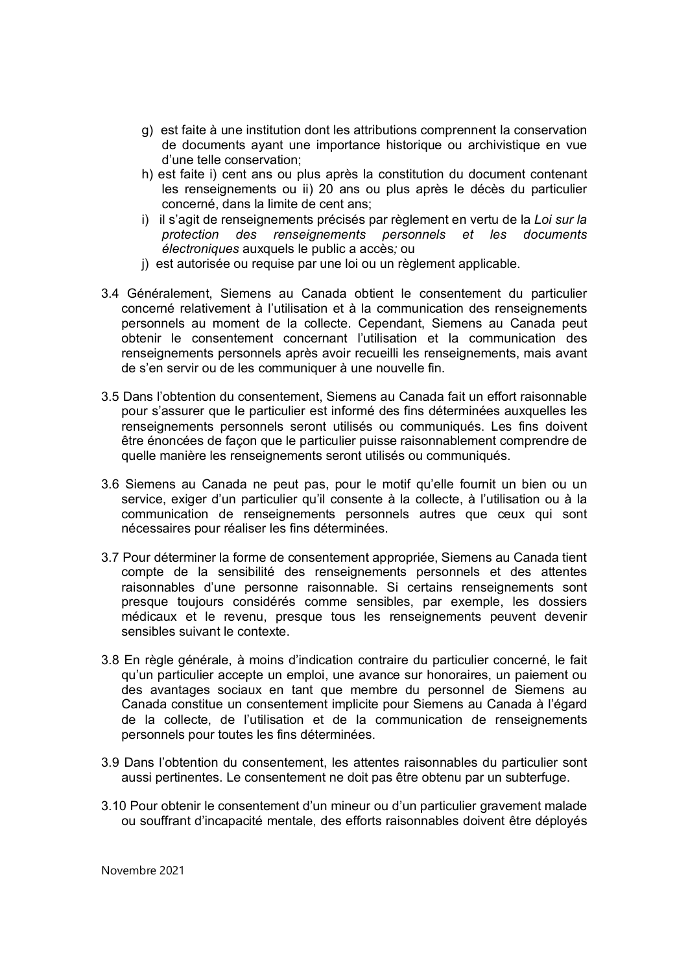- g) est faite à une institution dont les attributions comprennent la conservation de documents ayant une importance historique ou archivistique en vue d'une telle conservation;
- h) est faite i) cent ans ou plus après la constitution du document contenant les renseignements ou ii) 20 ans ou plus après le décès du particulier concerné, dans la limite de cent ans;
- i) il s'agit de renseignements précisés par règlement en vertu de la *Loi sur la protection des renseignements personnels et les documents électroniques* auxquels le public a accès*;* ou
- j) est autorisée ou requise par une loi ou un règlement applicable.
- 3.4 Généralement, Siemens au Canada obtient le consentement du particulier concerné relativement à l'utilisation et à la communication des renseignements personnels au moment de la collecte. Cependant, Siemens au Canada peut obtenir le consentement concernant l'utilisation et la communication des renseignements personnels après avoir recueilli les renseignements, mais avant de s'en servir ou de les communiquer à une nouvelle fin.
- 3.5 Dans l'obtention du consentement, Siemens au Canada fait un effort raisonnable pour s'assurer que le particulier est informé des fins déterminées auxquelles les renseignements personnels seront utilisés ou communiqués. Les fins doivent être énoncées de façon que le particulier puisse raisonnablement comprendre de quelle manière les renseignements seront utilisés ou communiqués.
- 3.6 Siemens au Canada ne peut pas, pour le motif qu'elle fournit un bien ou un service, exiger d'un particulier qu'il consente à la collecte, à l'utilisation ou à la communication de renseignements personnels autres que ceux qui sont nécessaires pour réaliser les fins déterminées.
- 3.7 Pour déterminer la forme de consentement appropriée, Siemens au Canada tient compte de la sensibilité des renseignements personnels et des attentes raisonnables d'une personne raisonnable. Si certains renseignements sont presque toujours considérés comme sensibles, par exemple, les dossiers médicaux et le revenu, presque tous les renseignements peuvent devenir sensibles suivant le contexte.
- 3.8 En règle générale, à moins d'indication contraire du particulier concerné, le fait qu'un particulier accepte un emploi, une avance sur honoraires, un paiement ou des avantages sociaux en tant que membre du personnel de Siemens au Canada constitue un consentement implicite pour Siemens au Canada à l'égard de la collecte, de l'utilisation et de la communication de renseignements personnels pour toutes les fins déterminées.
- 3.9 Dans l'obtention du consentement, les attentes raisonnables du particulier sont aussi pertinentes. Le consentement ne doit pas être obtenu par un subterfuge.
- 3.10 Pour obtenir le consentement d'un mineur ou d'un particulier gravement malade ou souffrant d'incapacité mentale, des efforts raisonnables doivent être déployés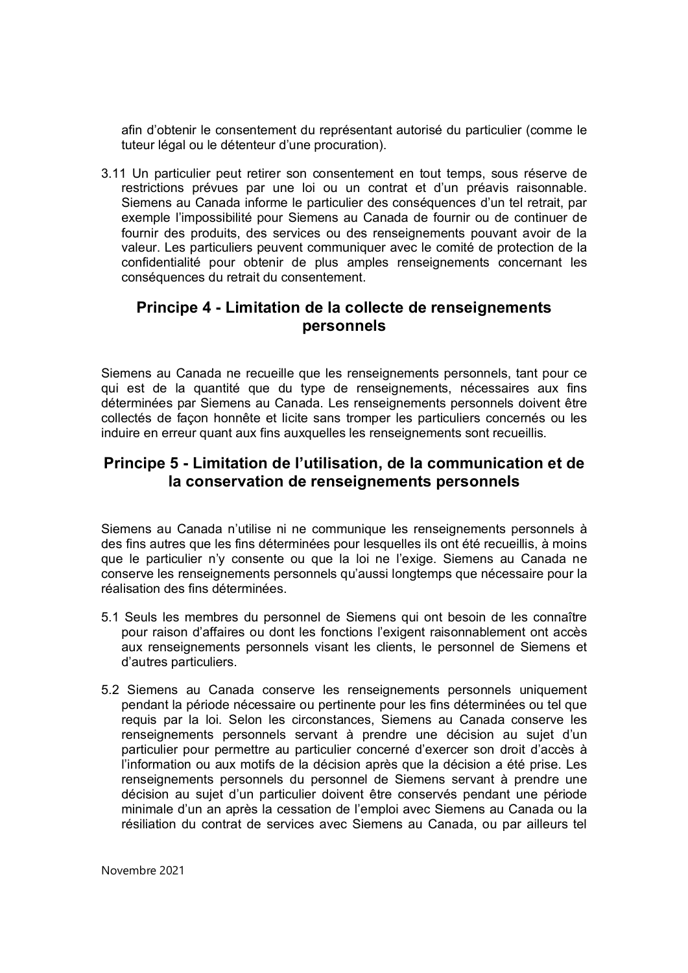afin d'obtenir le consentement du représentant autorisé du particulier (comme le tuteur légal ou le détenteur d'une procuration).

3.11 Un particulier peut retirer son consentement en tout temps, sous réserve de restrictions prévues par une loi ou un contrat et d'un préavis raisonnable. Siemens au Canada informe le particulier des conséquences d'un tel retrait, par exemple l'impossibilité pour Siemens au Canada de fournir ou de continuer de fournir des produits, des services ou des renseignements pouvant avoir de la valeur. Les particuliers peuvent communiquer avec le comité de protection de la confidentialité pour obtenir de plus amples renseignements concernant les conséquences du retrait du consentement.

## **Principe 4 - Limitation de la collecte de renseignements personnels**

Siemens au Canada ne recueille que les renseignements personnels, tant pour ce qui est de la quantité que du type de renseignements, nécessaires aux fins déterminées par Siemens au Canada. Les renseignements personnels doivent être collectés de façon honnête et licite sans tromper les particuliers concernés ou les induire en erreur quant aux fins auxquelles les renseignements sont recueillis.

## **Principe 5 - Limitation de l'utilisation, de la communication et de la conservation de renseignements personnels**

Siemens au Canada n'utilise ni ne communique les renseignements personnels à des fins autres que les fins déterminées pour lesquelles ils ont été recueillis, à moins que le particulier n'y consente ou que la loi ne l'exige. Siemens au Canada ne conserve les renseignements personnels qu'aussi longtemps que nécessaire pour la réalisation des fins déterminées.

- 5.1 Seuls les membres du personnel de Siemens qui ont besoin de les connaître pour raison d'affaires ou dont les fonctions l'exigent raisonnablement ont accès aux renseignements personnels visant les clients, le personnel de Siemens et d'autres particuliers.
- 5.2 Siemens au Canada conserve les renseignements personnels uniquement pendant la période nécessaire ou pertinente pour les fins déterminées ou tel que requis par la loi. Selon les circonstances, Siemens au Canada conserve les renseignements personnels servant à prendre une décision au sujet d'un particulier pour permettre au particulier concerné d'exercer son droit d'accès à l'information ou aux motifs de la décision après que la décision a été prise. Les renseignements personnels du personnel de Siemens servant à prendre une décision au sujet d'un particulier doivent être conservés pendant une période minimale d'un an après la cessation de l'emploi avec Siemens au Canada ou la résiliation du contrat de services avec Siemens au Canada, ou par ailleurs tel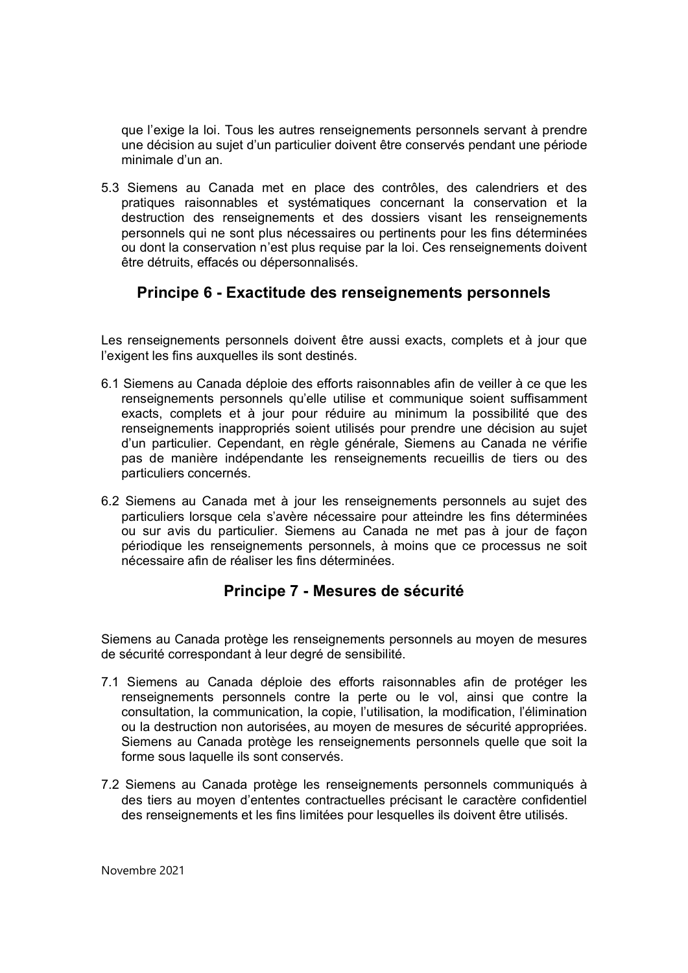que l'exige la loi. Tous les autres renseignements personnels servant à prendre une décision au sujet d'un particulier doivent être conservés pendant une période minimale d'un an.

5.3 Siemens au Canada met en place des contrôles, des calendriers et des pratiques raisonnables et systématiques concernant la conservation et la destruction des renseignements et des dossiers visant les renseignements personnels qui ne sont plus nécessaires ou pertinents pour les fins déterminées ou dont la conservation n'est plus requise par la loi. Ces renseignements doivent être détruits, effacés ou dépersonnalisés.

## **Principe 6 - Exactitude des renseignements personnels**

Les renseignements personnels doivent être aussi exacts, complets et à jour que l'exigent les fins auxquelles ils sont destinés.

- 6.1 Siemens au Canada déploie des efforts raisonnables afin de veiller à ce que les renseignements personnels qu'elle utilise et communique soient suffisamment exacts, complets et à jour pour réduire au minimum la possibilité que des renseignements inappropriés soient utilisés pour prendre une décision au sujet d'un particulier. Cependant, en règle générale, Siemens au Canada ne vérifie pas de manière indépendante les renseignements recueillis de tiers ou des particuliers concernés.
- 6.2 Siemens au Canada met à jour les renseignements personnels au sujet des particuliers lorsque cela s'avère nécessaire pour atteindre les fins déterminées ou sur avis du particulier. Siemens au Canada ne met pas à jour de façon périodique les renseignements personnels, à moins que ce processus ne soit nécessaire afin de réaliser les fins déterminées.

## **Principe 7 - Mesures de sécurité**

Siemens au Canada protège les renseignements personnels au moyen de mesures de sécurité correspondant à leur degré de sensibilité.

- 7.1 Siemens au Canada déploie des efforts raisonnables afin de protéger les renseignements personnels contre la perte ou le vol, ainsi que contre la consultation, la communication, la copie, l'utilisation, la modification, l'élimination ou la destruction non autorisées, au moyen de mesures de sécurité appropriées. Siemens au Canada protège les renseignements personnels quelle que soit la forme sous laquelle ils sont conservés.
- 7.2 Siemens au Canada protège les renseignements personnels communiqués à des tiers au moyen d'ententes contractuelles précisant le caractère confidentiel des renseignements et les fins limitées pour lesquelles ils doivent être utilisés.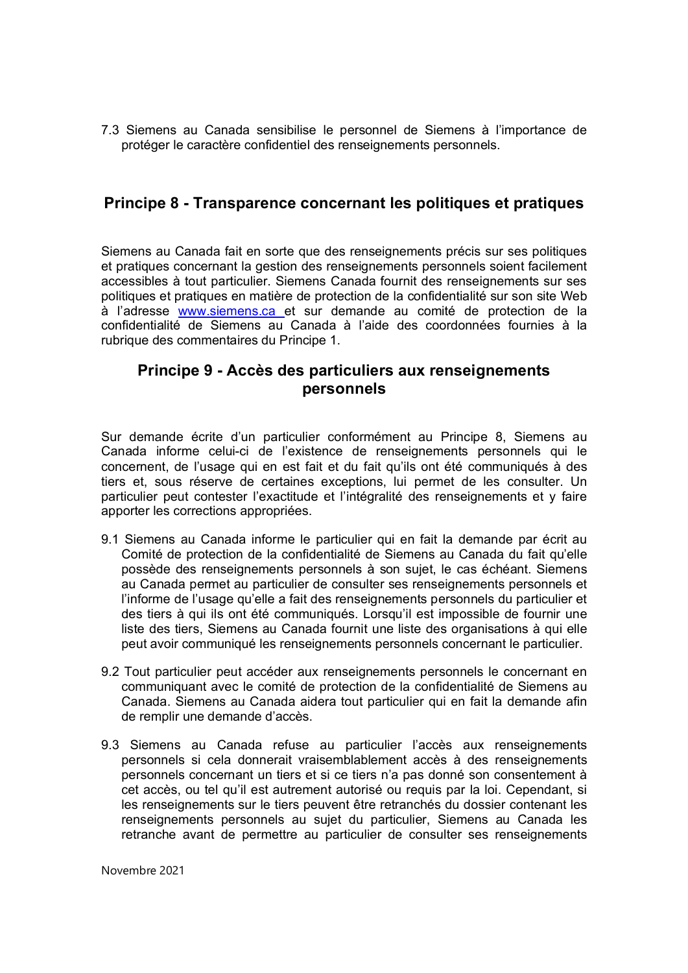7.3 Siemens au Canada sensibilise le personnel de Siemens à l'importance de protéger le caractère confidentiel des renseignements personnels.

#### **Principe 8 - Transparence concernant les politiques et pratiques**

Siemens au Canada fait en sorte que des renseignements précis sur ses politiques et pratiques concernant la gestion des renseignements personnels soient facilement accessibles à tout particulier. Siemens Canada fournit des renseignements sur ses politiques et pratiques en matière de protection de la confidentialité sur son site Web à l'adresse www.siemens.ca et sur demande au comité de protection de la confidentialité de Siemens au Canada à l'aide des coordonnées fournies à la rubrique des commentaires du Principe 1.

## **Principe 9 - Accès des particuliers aux renseignements personnels**

Sur demande écrite d'un particulier conformément au Principe 8, Siemens au Canada informe celui-ci de l'existence de renseignements personnels qui le concernent, de l'usage qui en est fait et du fait qu'ils ont été communiqués à des tiers et, sous réserve de certaines exceptions, lui permet de les consulter. Un particulier peut contester l'exactitude et l'intégralité des renseignements et y faire apporter les corrections appropriées.

- 9.1 Siemens au Canada informe le particulier qui en fait la demande par écrit au Comité de protection de la confidentialité de Siemens au Canada du fait qu'elle possède des renseignements personnels à son sujet, le cas échéant. Siemens au Canada permet au particulier de consulter ses renseignements personnels et l'informe de l'usage qu'elle a fait des renseignements personnels du particulier et des tiers à qui ils ont été communiqués. Lorsqu'il est impossible de fournir une liste des tiers, Siemens au Canada fournit une liste des organisations à qui elle peut avoir communiqué les renseignements personnels concernant le particulier.
- 9.2 Tout particulier peut accéder aux renseignements personnels le concernant en communiquant avec le comité de protection de la confidentialité de Siemens au Canada. Siemens au Canada aidera tout particulier qui en fait la demande afin de remplir une demande d'accès.
- 9.3 Siemens au Canada refuse au particulier l'accès aux renseignements personnels si cela donnerait vraisemblablement accès à des renseignements personnels concernant un tiers et si ce tiers n'a pas donné son consentement à cet accès, ou tel qu'il est autrement autorisé ou requis par la loi. Cependant, si les renseignements sur le tiers peuvent être retranchés du dossier contenant les renseignements personnels au sujet du particulier, Siemens au Canada les retranche avant de permettre au particulier de consulter ses renseignements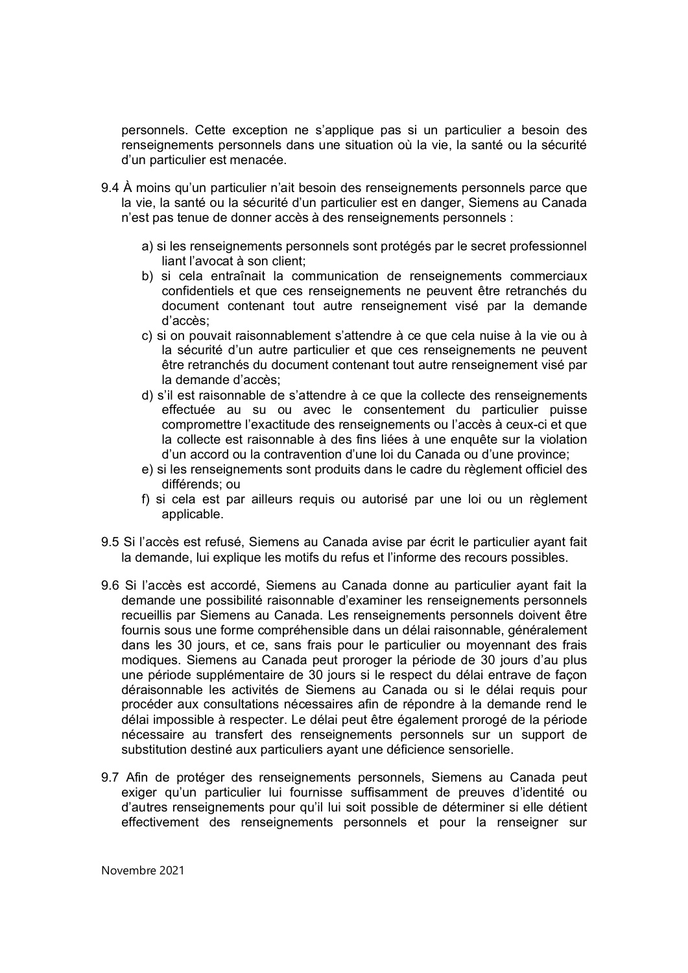personnels. Cette exception ne s'applique pas si un particulier a besoin des renseignements personnels dans une situation où la vie, la santé ou la sécurité d'un particulier est menacée.

- 9.4 À moins qu'un particulier n'ait besoin des renseignements personnels parce que la vie, la santé ou la sécurité d'un particulier est en danger, Siemens au Canada n'est pas tenue de donner accès à des renseignements personnels :
	- a) si les renseignements personnels sont protégés par le secret professionnel liant l'avocat à son client;
	- b) si cela entraînait la communication de renseignements commerciaux confidentiels et que ces renseignements ne peuvent être retranchés du document contenant tout autre renseignement visé par la demande d'accès;
	- c) si on pouvait raisonnablement s'attendre à ce que cela nuise à la vie ou à la sécurité d'un autre particulier et que ces renseignements ne peuvent être retranchés du document contenant tout autre renseignement visé par la demande d'accès;
	- d) s'il est raisonnable de s'attendre à ce que la collecte des renseignements effectuée au su ou avec le consentement du particulier puisse compromettre l'exactitude des renseignements ou l'accès à ceux-ci et que la collecte est raisonnable à des fins liées à une enquête sur la violation d'un accord ou la contravention d'une loi du Canada ou d'une province;
	- e) si les renseignements sont produits dans le cadre du règlement officiel des différends; ou
	- f) si cela est par ailleurs requis ou autorisé par une loi ou un règlement applicable.
- 9.5 Si l'accès est refusé, Siemens au Canada avise par écrit le particulier ayant fait la demande, lui explique les motifs du refus et l'informe des recours possibles.
- 9.6 Si l'accès est accordé, Siemens au Canada donne au particulier ayant fait la demande une possibilité raisonnable d'examiner les renseignements personnels recueillis par Siemens au Canada. Les renseignements personnels doivent être fournis sous une forme compréhensible dans un délai raisonnable, généralement dans les 30 jours, et ce, sans frais pour le particulier ou moyennant des frais modiques. Siemens au Canada peut proroger la période de 30 jours d'au plus une période supplémentaire de 30 jours si le respect du délai entrave de façon déraisonnable les activités de Siemens au Canada ou si le délai requis pour procéder aux consultations nécessaires afin de répondre à la demande rend le délai impossible à respecter. Le délai peut être également prorogé de la période nécessaire au transfert des renseignements personnels sur un support de substitution destiné aux particuliers ayant une déficience sensorielle.
- 9.7 Afin de protéger des renseignements personnels, Siemens au Canada peut exiger qu'un particulier lui fournisse suffisamment de preuves d'identité ou d'autres renseignements pour qu'il lui soit possible de déterminer si elle détient effectivement des renseignements personnels et pour la renseigner sur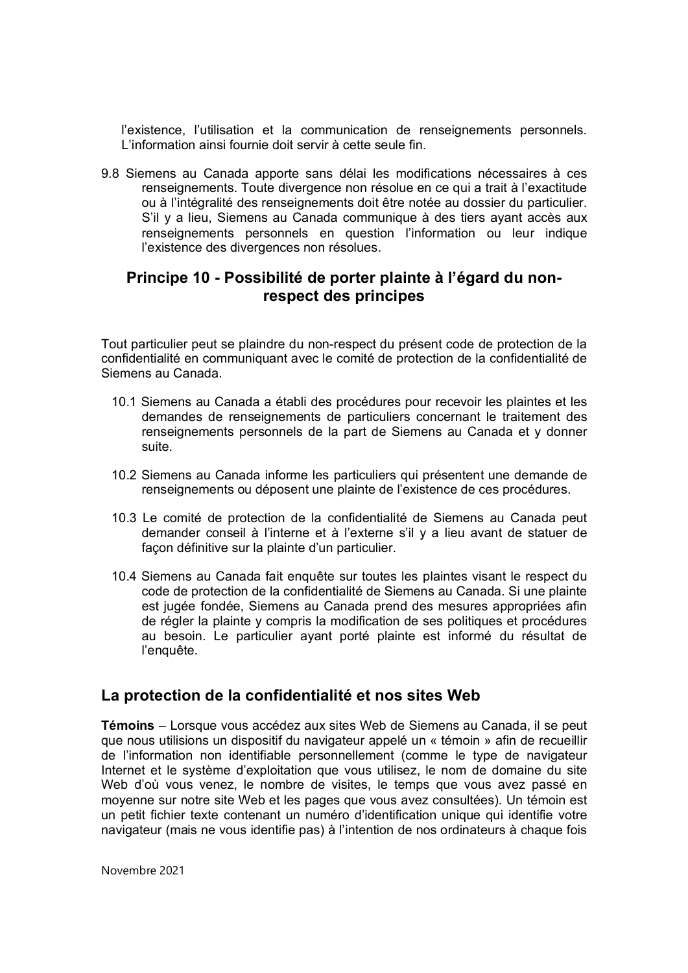l'existence, l'utilisation et la communication de renseignements personnels. L'information ainsi fournie doit servir à cette seule fin.

9.8 Siemens au Canada apporte sans délai les modifications nécessaires à ces renseignements. Toute divergence non résolue en ce qui a trait à l'exactitude ou à l'intégralité des renseignements doit être notée au dossier du particulier. S'il y a lieu, Siemens au Canada communique à des tiers ayant accès aux renseignements personnels en question l'information ou leur indique l'existence des divergences non résolues.

## **Principe 10 - Possibilité de porter plainte à l'égard du nonrespect des principes**

Tout particulier peut se plaindre du non-respect du présent code de protection de la confidentialité en communiquant avec le comité de protection de la confidentialité de Siemens au Canada.

- 10.1 Siemens au Canada a établi des procédures pour recevoir les plaintes et les demandes de renseignements de particuliers concernant le traitement des renseignements personnels de la part de Siemens au Canada et y donner suite.
- 10.2 Siemens au Canada informe les particuliers qui présentent une demande de renseignements ou déposent une plainte de l'existence de ces procédures.
- 10.3 Le comité de protection de la confidentialité de Siemens au Canada peut demander conseil à l'interne et à l'externe s'il y a lieu avant de statuer de façon définitive sur la plainte d'un particulier.
- 10.4 Siemens au Canada fait enquête sur toutes les plaintes visant le respect du code de protection de la confidentialité de Siemens au Canada. Si une plainte est jugée fondée, Siemens au Canada prend des mesures appropriées afin de régler la plainte y compris la modification de ses politiques et procédures au besoin. Le particulier ayant porté plainte est informé du résultat de l'enquête.

## **La protection de la confidentialité et nos sites Web**

**Témoins** – Lorsque vous accédez aux sites Web de Siemens au Canada, il se peut que nous utilisions un dispositif du navigateur appelé un « témoin » afin de recueillir de l'information non identifiable personnellement (comme le type de navigateur Internet et le système d'exploitation que vous utilisez, le nom de domaine du site Web d'où vous venez, le nombre de visites, le temps que vous avez passé en moyenne sur notre site Web et les pages que vous avez consultées). Un témoin est un petit fichier texte contenant un numéro d'identification unique qui identifie votre navigateur (mais ne vous identifie pas) à l'intention de nos ordinateurs à chaque fois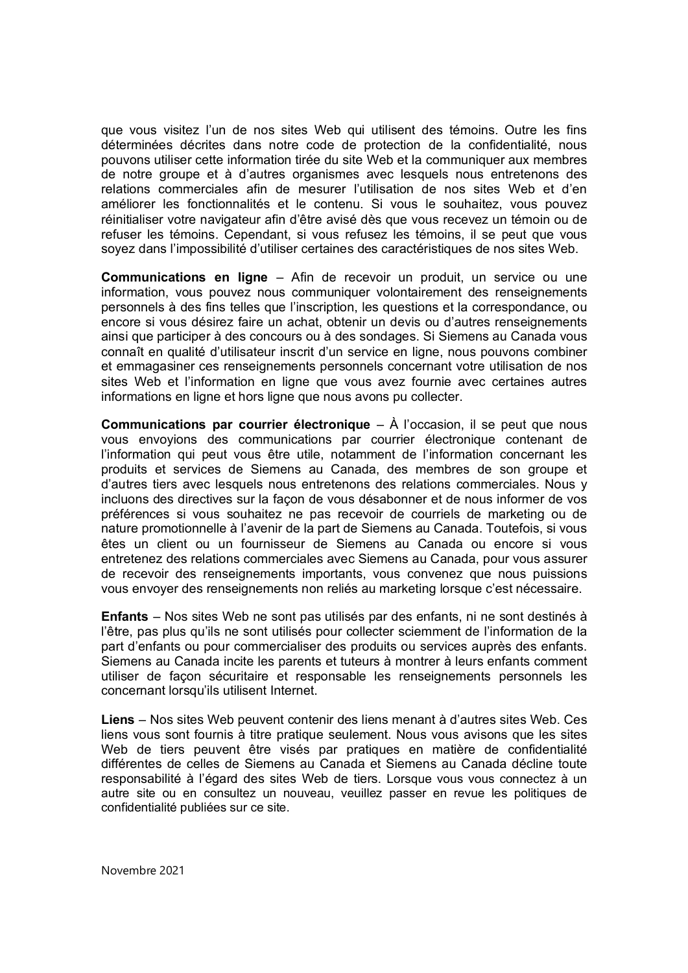que vous visitez l'un de nos sites Web qui utilisent des témoins. Outre les fins déterminées décrites dans notre code de protection de la confidentialité, nous pouvons utiliser cette information tirée du site Web et la communiquer aux membres de notre groupe et à d'autres organismes avec lesquels nous entretenons des relations commerciales afin de mesurer l'utilisation de nos sites Web et d'en améliorer les fonctionnalités et le contenu. Si vous le souhaitez, vous pouvez réinitialiser votre navigateur afin d'être avisé dès que vous recevez un témoin ou de refuser les témoins. Cependant, si vous refusez les témoins, il se peut que vous soyez dans l'impossibilité d'utiliser certaines des caractéristiques de nos sites Web.

**Communications en ligne** – Afin de recevoir un produit, un service ou une information, vous pouvez nous communiquer volontairement des renseignements personnels à des fins telles que l'inscription, les questions et la correspondance, ou encore si vous désirez faire un achat, obtenir un devis ou d'autres renseignements ainsi que participer à des concours ou à des sondages. Si Siemens au Canada vous connaît en qualité d'utilisateur inscrit d'un service en ligne, nous pouvons combiner et emmagasiner ces renseignements personnels concernant votre utilisation de nos sites Web et l'information en ligne que vous avez fournie avec certaines autres informations en ligne et hors ligne que nous avons pu collecter.

**Communications par courrier électronique** – À l'occasion, il se peut que nous vous envoyions des communications par courrier électronique contenant de l'information qui peut vous être utile, notamment de l'information concernant les produits et services de Siemens au Canada, des membres de son groupe et d'autres tiers avec lesquels nous entretenons des relations commerciales. Nous y incluons des directives sur la façon de vous désabonner et de nous informer de vos préférences si vous souhaitez ne pas recevoir de courriels de marketing ou de nature promotionnelle à l'avenir de la part de Siemens au Canada. Toutefois, si vous êtes un client ou un fournisseur de Siemens au Canada ou encore si vous entretenez des relations commerciales avec Siemens au Canada, pour vous assurer de recevoir des renseignements importants, vous convenez que nous puissions vous envoyer des renseignements non reliés au marketing lorsque c'est nécessaire.

**Enfants** – Nos sites Web ne sont pas utilisés par des enfants, ni ne sont destinés à l'être, pas plus qu'ils ne sont utilisés pour collecter sciemment de l'information de la part d'enfants ou pour commercialiser des produits ou services auprès des enfants. Siemens au Canada incite les parents et tuteurs à montrer à leurs enfants comment utiliser de façon sécuritaire et responsable les renseignements personnels les concernant lorsqu'ils utilisent Internet.

**Liens** – Nos sites Web peuvent contenir des liens menant à d'autres sites Web. Ces liens vous sont fournis à titre pratique seulement. Nous vous avisons que les sites Web de tiers peuvent être visés par pratiques en matière de confidentialité différentes de celles de Siemens au Canada et Siemens au Canada décline toute responsabilité à l'égard des sites Web de tiers. Lorsque vous vous connectez à un autre site ou en consultez un nouveau, veuillez passer en revue les politiques de confidentialité publiées sur ce site.